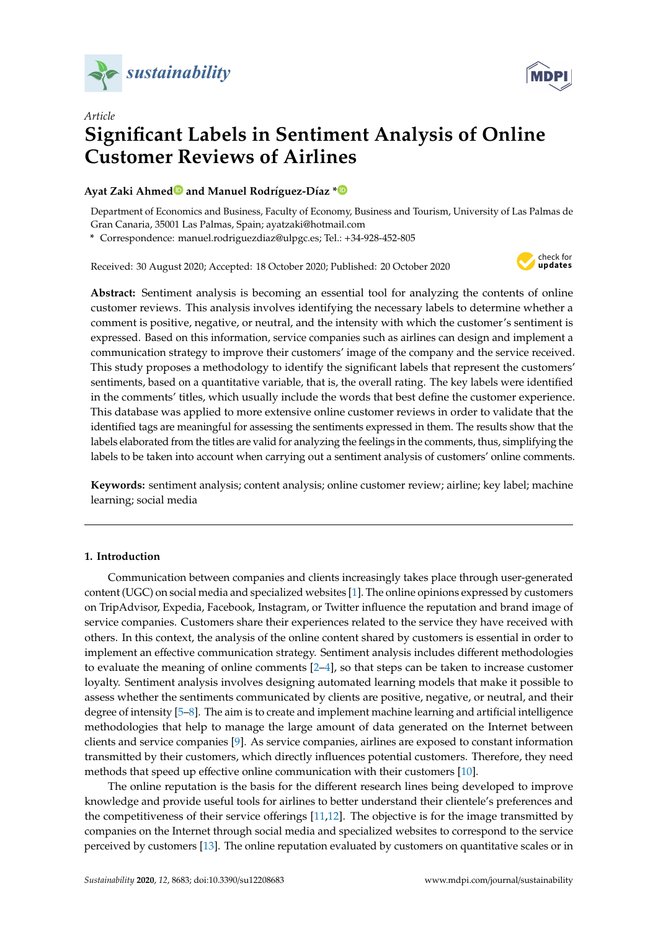



# *Article* **Significant Labels in Sentiment Analysis of Online Customer Reviews of Airlines**

## **Ayat Zaki Ahme[d](https://orcid.org/0000-0001-5538-7415) and Manuel Rodríguez-Díaz [\\*](https://orcid.org/0000-0003-2513-418X)**

Department of Economics and Business, Faculty of Economy, Business and Tourism, University of Las Palmas de Gran Canaria, 35001 Las Palmas, Spain; ayatzaki@hotmail.com

**\*** Correspondence: manuel.rodriguezdiaz@ulpgc.es; Tel.: +34-928-452-805

Received: 30 August 2020; Accepted: 18 October 2020; Published: 20 October 2020



**Abstract:** Sentiment analysis is becoming an essential tool for analyzing the contents of online customer reviews. This analysis involves identifying the necessary labels to determine whether a comment is positive, negative, or neutral, and the intensity with which the customer's sentiment is expressed. Based on this information, service companies such as airlines can design and implement a communication strategy to improve their customers' image of the company and the service received. This study proposes a methodology to identify the significant labels that represent the customers' sentiments, based on a quantitative variable, that is, the overall rating. The key labels were identified in the comments' titles, which usually include the words that best define the customer experience. This database was applied to more extensive online customer reviews in order to validate that the identified tags are meaningful for assessing the sentiments expressed in them. The results show that the labels elaborated from the titles are valid for analyzing the feelings in the comments, thus, simplifying the labels to be taken into account when carrying out a sentiment analysis of customers' online comments.

**Keywords:** sentiment analysis; content analysis; online customer review; airline; key label; machine learning; social media

## **1. Introduction**

Communication between companies and clients increasingly takes place through user-generated content (UGC) on social media and specialized websites [\[1\]](#page-13-0). The online opinions expressed by customers on TripAdvisor, Expedia, Facebook, Instagram, or Twitter influence the reputation and brand image of service companies. Customers share their experiences related to the service they have received with others. In this context, the analysis of the online content shared by customers is essential in order to implement an effective communication strategy. Sentiment analysis includes different methodologies to evaluate the meaning of online comments  $[2-4]$  $[2-4]$ , so that steps can be taken to increase customer loyalty. Sentiment analysis involves designing automated learning models that make it possible to assess whether the sentiments communicated by clients are positive, negative, or neutral, and their degree of intensity [\[5](#page-13-3)[–8\]](#page-14-0). The aim is to create and implement machine learning and artificial intelligence methodologies that help to manage the large amount of data generated on the Internet between clients and service companies [\[9\]](#page-14-1). As service companies, airlines are exposed to constant information transmitted by their customers, which directly influences potential customers. Therefore, they need methods that speed up effective online communication with their customers [\[10\]](#page-14-2).

The online reputation is the basis for the different research lines being developed to improve knowledge and provide useful tools for airlines to better understand their clientele's preferences and the competitiveness of their service offerings [\[11,](#page-14-3)[12\]](#page-14-4). The objective is for the image transmitted by companies on the Internet through social media and specialized websites to correspond to the service perceived by customers [\[13\]](#page-14-5). The online reputation evaluated by customers on quantitative scales or in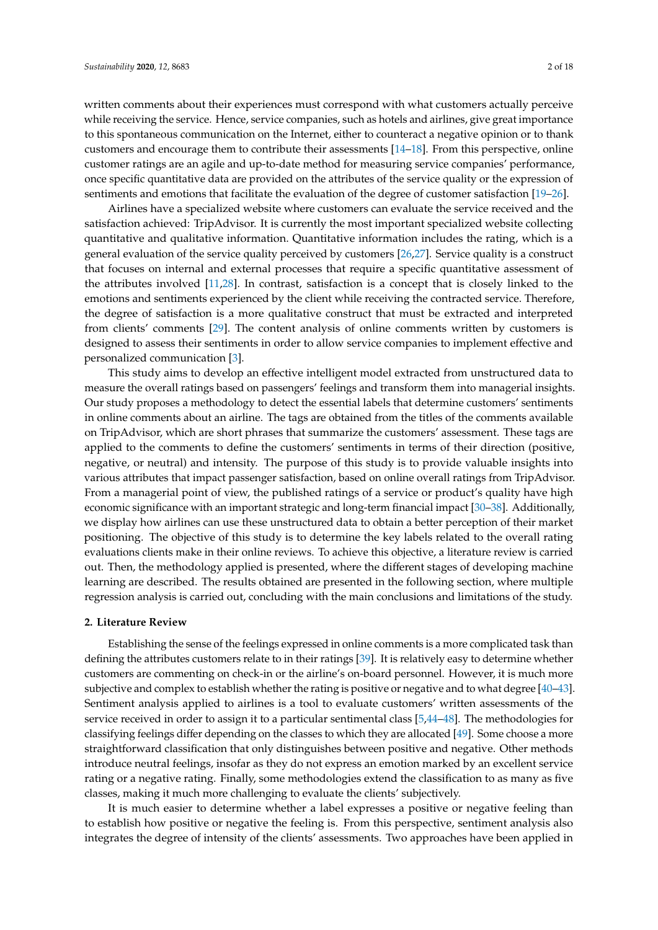written comments about their experiences must correspond with what customers actually perceive while receiving the service. Hence, service companies, such as hotels and airlines, give great importance to this spontaneous communication on the Internet, either to counteract a negative opinion or to thank customers and encourage them to contribute their assessments [\[14](#page-14-6)[–18\]](#page-14-7). From this perspective, online customer ratings are an agile and up-to-date method for measuring service companies' performance, once specific quantitative data are provided on the attributes of the service quality or the expression of sentiments and emotions that facilitate the evaluation of the degree of customer satisfaction [\[19](#page-14-8)[–26\]](#page-14-9).

Airlines have a specialized website where customers can evaluate the service received and the satisfaction achieved: TripAdvisor. It is currently the most important specialized website collecting quantitative and qualitative information. Quantitative information includes the rating, which is a general evaluation of the service quality perceived by customers [\[26,](#page-14-9)[27\]](#page-14-10). Service quality is a construct that focuses on internal and external processes that require a specific quantitative assessment of the attributes involved [\[11](#page-14-3)[,28\]](#page-14-11). In contrast, satisfaction is a concept that is closely linked to the emotions and sentiments experienced by the client while receiving the contracted service. Therefore, the degree of satisfaction is a more qualitative construct that must be extracted and interpreted from clients' comments [\[29\]](#page-14-12). The content analysis of online comments written by customers is designed to assess their sentiments in order to allow service companies to implement effective and personalized communication [\[3\]](#page-13-4).

This study aims to develop an effective intelligent model extracted from unstructured data to measure the overall ratings based on passengers' feelings and transform them into managerial insights. Our study proposes a methodology to detect the essential labels that determine customers' sentiments in online comments about an airline. The tags are obtained from the titles of the comments available on TripAdvisor, which are short phrases that summarize the customers' assessment. These tags are applied to the comments to define the customers' sentiments in terms of their direction (positive, negative, or neutral) and intensity. The purpose of this study is to provide valuable insights into various attributes that impact passenger satisfaction, based on online overall ratings from TripAdvisor. From a managerial point of view, the published ratings of a service or product's quality have high economic significance with an important strategic and long-term financial impact [\[30](#page-14-13)[–38\]](#page-15-0). Additionally, we display how airlines can use these unstructured data to obtain a better perception of their market positioning. The objective of this study is to determine the key labels related to the overall rating evaluations clients make in their online reviews. To achieve this objective, a literature review is carried out. Then, the methodology applied is presented, where the different stages of developing machine learning are described. The results obtained are presented in the following section, where multiple regression analysis is carried out, concluding with the main conclusions and limitations of the study.

## **2. Literature Review**

Establishing the sense of the feelings expressed in online comments is a more complicated task than defining the attributes customers relate to in their ratings [\[39\]](#page-15-1). It is relatively easy to determine whether customers are commenting on check-in or the airline's on-board personnel. However, it is much more subjective and complex to establish whether the rating is positive or negative and to what degree [\[40–](#page-15-2)[43\]](#page-15-3). Sentiment analysis applied to airlines is a tool to evaluate customers' written assessments of the service received in order to assign it to a particular sentimental class [\[5,](#page-13-3)[44](#page-15-4)[–48\]](#page-15-5). The methodologies for classifying feelings differ depending on the classes to which they are allocated [\[49\]](#page-15-6). Some choose a more straightforward classification that only distinguishes between positive and negative. Other methods introduce neutral feelings, insofar as they do not express an emotion marked by an excellent service rating or a negative rating. Finally, some methodologies extend the classification to as many as five classes, making it much more challenging to evaluate the clients' subjectively.

It is much easier to determine whether a label expresses a positive or negative feeling than to establish how positive or negative the feeling is. From this perspective, sentiment analysis also integrates the degree of intensity of the clients' assessments. Two approaches have been applied in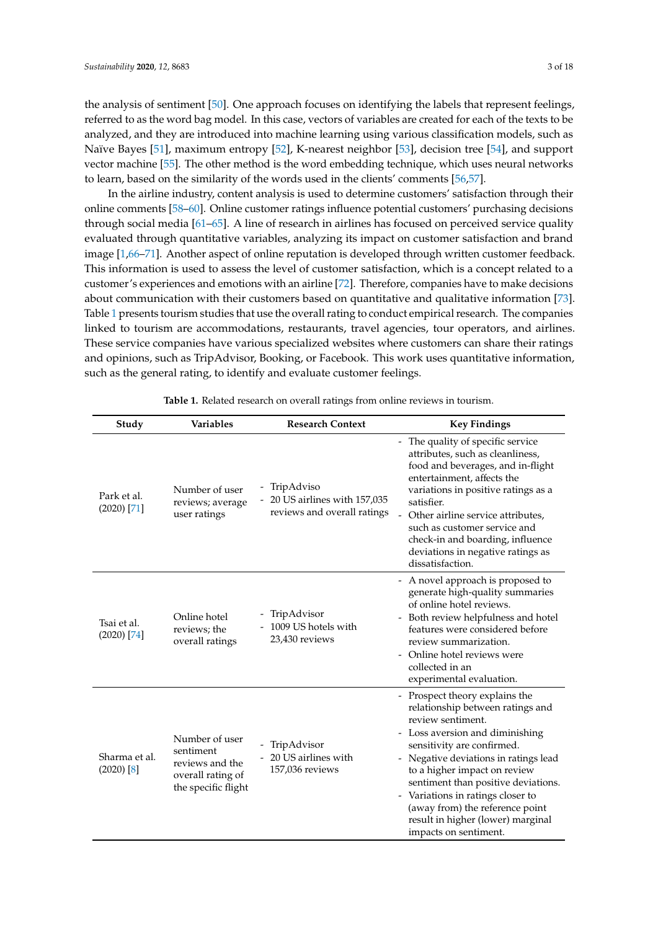the analysis of sentiment [\[50\]](#page-15-7). One approach focuses on identifying the labels that represent feelings, referred to as the word bag model. In this case, vectors of variables are created for each of the texts to be analyzed, and they are introduced into machine learning using various classification models, such as Naïve Bayes [\[51\]](#page-15-8), maximum entropy [\[52\]](#page-15-9), K-nearest neighbor [\[53\]](#page-15-10), decision tree [\[54\]](#page-15-11), and support vector machine [\[55\]](#page-16-0). The other method is the word embedding technique, which uses neural networks to learn, based on the similarity of the words used in the clients' comments [\[56,](#page-16-1)[57\]](#page-16-2).

In the airline industry, content analysis is used to determine customers' satisfaction through their online comments [\[58–](#page-16-3)[60\]](#page-16-4). Online customer ratings influence potential customers' purchasing decisions through social media [\[61–](#page-16-5)[65\]](#page-16-6). A line of research in airlines has focused on perceived service quality evaluated through quantitative variables, analyzing its impact on customer satisfaction and brand image [\[1](#page-13-0)[,66](#page-16-7)[–71\]](#page-16-8). Another aspect of online reputation is developed through written customer feedback. This information is used to assess the level of customer satisfaction, which is a concept related to a customer's experiences and emotions with an airline [\[72\]](#page-16-9). Therefore, companies have to make decisions about communication with their customers based on quantitative and qualitative information [\[73\]](#page-16-10). Table [1](#page-5-0) presents tourism studies that use the overall rating to conduct empirical research. The companies linked to tourism are accommodations, restaurants, travel agencies, tour operators, and airlines. These service companies have various specialized websites where customers can share their ratings and opinions, such as TripAdvisor, Booking, or Facebook. This work uses quantitative information, such as the general rating, to identify and evaluate customer feelings.

| Study                         | Variables                                                                                  | <b>Research Context</b>                                                          | <b>Key Findings</b>                                                                                                                                                                                                                                                                                                                                                                                                                          |
|-------------------------------|--------------------------------------------------------------------------------------------|----------------------------------------------------------------------------------|----------------------------------------------------------------------------------------------------------------------------------------------------------------------------------------------------------------------------------------------------------------------------------------------------------------------------------------------------------------------------------------------------------------------------------------------|
| Park et al.<br>$(2020)$ [71]  | Number of user<br>reviews; average<br>user ratings                                         | - TripAdviso<br>- 20 US airlines with 157,035<br>reviews and overall ratings     | - The quality of specific service<br>attributes, such as cleanliness,<br>food and beverages, and in-flight<br>entertainment, affects the<br>variations in positive ratings as a<br>satisfier.<br>Other airline service attributes,<br>such as customer service and<br>check-in and boarding, influence<br>deviations in negative ratings as<br>dissatisfaction.                                                                              |
| Tsai et al.<br>$(2020)$ [74]  | Online hotel<br>reviews; the<br>overall ratings                                            | TripAdvisor<br>$\overline{\phantom{a}}$<br>1009 US hotels with<br>23,430 reviews | - A novel approach is proposed to<br>generate high-quality summaries<br>of online hotel reviews.<br>Both review helpfulness and hotel<br>features were considered before<br>review summarization.<br>Online hotel reviews were<br>collected in an<br>experimental evaluation.                                                                                                                                                                |
| Sharma et al.<br>$(2020)$ [8] | Number of user<br>sentiment<br>reviews and the<br>overall rating of<br>the specific flight | TripAdvisor<br>20 US airlines with<br>157,036 reviews                            | - Prospect theory explains the<br>relationship between ratings and<br>review sentiment.<br>- Loss aversion and diminishing<br>sensitivity are confirmed.<br>Negative deviations in ratings lead<br>$\qquad \qquad \blacksquare$<br>to a higher impact on review<br>sentiment than positive deviations.<br>- Variations in ratings closer to<br>(away from) the reference point<br>result in higher (lower) marginal<br>impacts on sentiment. |

**Table 1.** Related research on overall ratings from online reviews in tourism.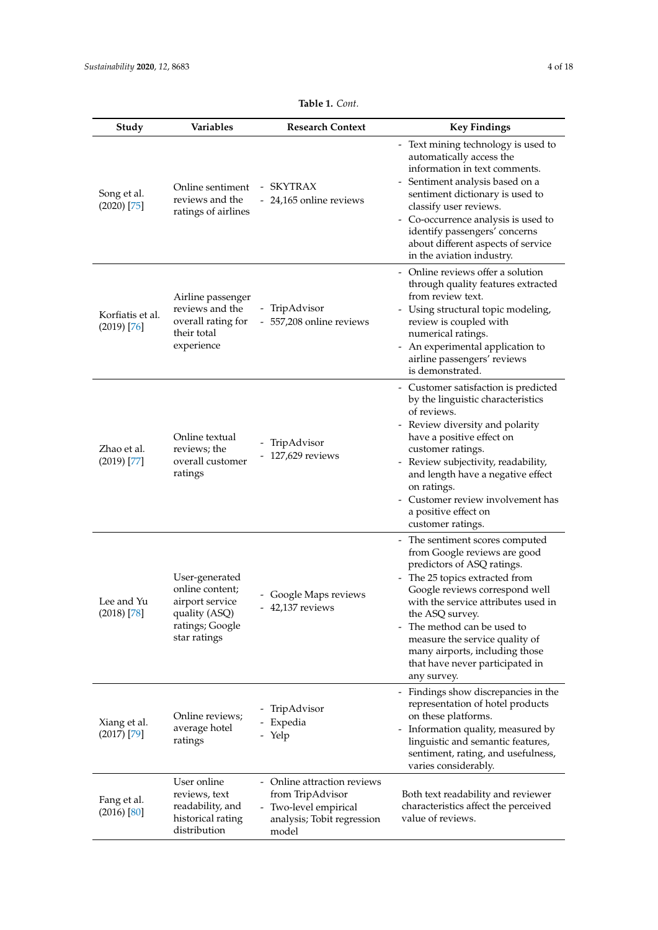| Study                             | <b>Variables</b>                                                                                         | <b>Research Context</b>                                                                                         | <b>Key Findings</b>                                                                                                                                                                                                                                                                                                                                                            |
|-----------------------------------|----------------------------------------------------------------------------------------------------------|-----------------------------------------------------------------------------------------------------------------|--------------------------------------------------------------------------------------------------------------------------------------------------------------------------------------------------------------------------------------------------------------------------------------------------------------------------------------------------------------------------------|
| Song et al.<br>$(2020)$ [75]      | Online sentiment<br>reviews and the<br>ratings of airlines                                               | - SKYTRAX<br>- 24,165 online reviews                                                                            | - Text mining technology is used to<br>automatically access the<br>information in text comments.<br>- Sentiment analysis based on a<br>sentiment dictionary is used to<br>classify user reviews.<br>- Co-occurrence analysis is used to<br>identify passengers' concerns<br>about different aspects of service<br>in the aviation industry.                                    |
| Korfiatis et al.<br>$(2019)$ [76] | Airline passenger<br>reviews and the<br>overall rating for<br>their total<br>experience                  | - TripAdvisor<br>- 557,208 online reviews                                                                       | - Online reviews offer a solution<br>through quality features extracted<br>from review text.<br>- Using structural topic modeling,<br>review is coupled with<br>numerical ratings.<br>- An experimental application to<br>airline passengers' reviews<br>is demonstrated.                                                                                                      |
| Zhao et al.<br>$(2019)$ [77]      | Online textual<br>reviews; the<br>overall customer<br>ratings                                            | - TripAdvisor<br>127,629 reviews                                                                                | - Customer satisfaction is predicted<br>by the linguistic characteristics<br>of reviews.<br>- Review diversity and polarity<br>have a positive effect on<br>customer ratings.<br>- Review subjectivity, readability,<br>and length have a negative effect<br>on ratings.<br>- Customer review involvement has<br>a positive effect on<br>customer ratings.                     |
| Lee and Yu<br>$(2018)$ [78]       | User-generated<br>online content;<br>airport service<br>quality (ASQ)<br>ratings; Google<br>star ratings | - Google Maps reviews<br>42,137 reviews                                                                         | - The sentiment scores computed<br>from Google reviews are good<br>predictors of ASQ ratings.<br>- The 25 topics extracted from<br>Google reviews correspond well<br>with the service attributes used in<br>the ASQ survey.<br>The method can be used to<br>measure the service quality of<br>many airports, including those<br>that have never participated in<br>any survey. |
| Xiang et al.<br>$(2017)$ [79]     | Online reviews;<br>average hotel<br>ratings                                                              | - TripAdvisor<br>- Expedia<br>- Yelp                                                                            | - Findings show discrepancies in the<br>representation of hotel products<br>on these platforms.<br>- Information quality, measured by<br>linguistic and semantic features,<br>sentiment, rating, and usefulness,<br>varies considerably.                                                                                                                                       |
| Fang et al.<br>$(2016)$ $[80]$    | User online<br>reviews, text<br>readability, and<br>historical rating<br>distribution                    | - Online attraction reviews<br>from TripAdvisor<br>- Two-level empirical<br>analysis; Tobit regression<br>model | Both text readability and reviewer<br>characteristics affect the perceived<br>value of reviews.                                                                                                                                                                                                                                                                                |

**Table 1.** *Cont.*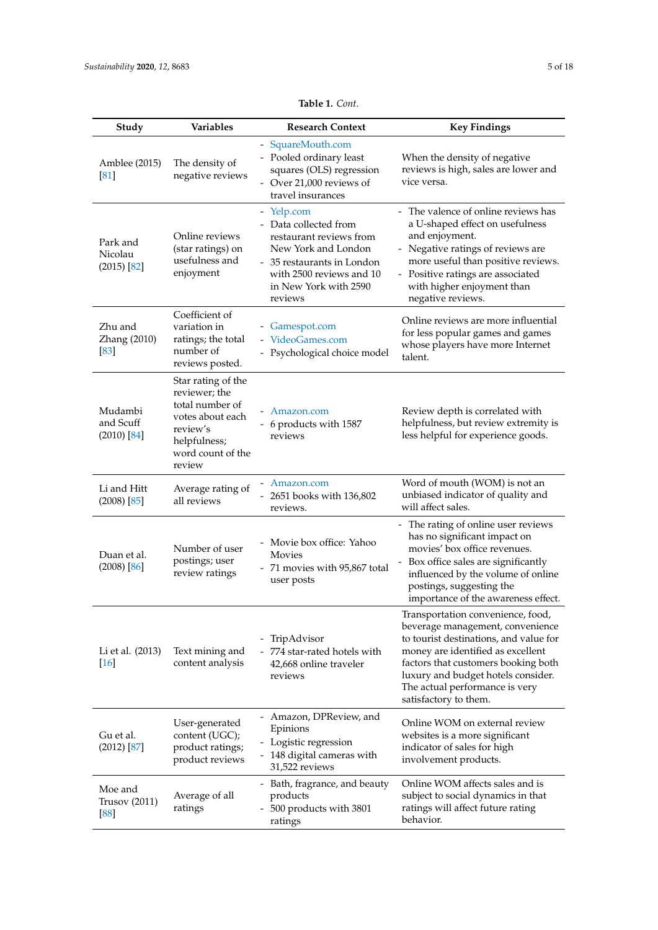| Study                                   | Variables                                                                                                                             | <b>Research Context</b>                                                                                                                                                             | <b>Key Findings</b>                                                                                                                                                                                                                                                                          |
|-----------------------------------------|---------------------------------------------------------------------------------------------------------------------------------------|-------------------------------------------------------------------------------------------------------------------------------------------------------------------------------------|----------------------------------------------------------------------------------------------------------------------------------------------------------------------------------------------------------------------------------------------------------------------------------------------|
| Amblee (2015)<br>[81]                   | The density of<br>negative reviews                                                                                                    | - SquareMouth.com<br>- Pooled ordinary least<br>squares (OLS) regression<br>Over 21,000 reviews of<br>$\overline{a}$<br>travel insurances                                           | When the density of negative<br>reviews is high, sales are lower and<br>vice versa.                                                                                                                                                                                                          |
| Park and<br>Nicolau<br>$(2015)$ [82]    | Online reviews<br>(star ratings) on<br>usefulness and<br>enjoyment                                                                    | - Yelp.com<br>- Data collected from<br>restaurant reviews from<br>New York and London<br>- 35 restaurants in London<br>with 2500 reviews and 10<br>in New York with 2590<br>reviews | - The valence of online reviews has<br>a U-shaped effect on usefulness<br>and enjoyment.<br>- Negative ratings of reviews are<br>more useful than positive reviews.<br>- Positive ratings are associated<br>with higher enjoyment than<br>negative reviews.                                  |
| Zhu and<br>Zhang (2010)<br>[83]         | Coefficient of<br>variation in<br>ratings; the total<br>number of<br>reviews posted.                                                  | - Gamespot.com<br>- VideoGames.com<br>- Psychological choice model                                                                                                                  | Online reviews are more influential<br>for less popular games and games<br>whose players have more Internet<br>talent.                                                                                                                                                                       |
| Mudambi<br>and Scuff<br>$(2010)$ [84]   | Star rating of the<br>reviewer; the<br>total number of<br>votes about each<br>review's<br>helpfulness;<br>word count of the<br>review | Amazon.com<br>6 products with 1587<br>reviews                                                                                                                                       | Review depth is correlated with<br>helpfulness, but review extremity is<br>less helpful for experience goods.                                                                                                                                                                                |
| Li and Hitt<br>$(2008)$ [85]            | Average rating of<br>all reviews                                                                                                      | - Amazon.com<br>2651 books with 136,802<br>reviews.                                                                                                                                 | Word of mouth (WOM) is not an<br>unbiased indicator of quality and<br>will affect sales.                                                                                                                                                                                                     |
| Duan et al.<br>$(2008)$ [86]            | Number of user<br>postings; user<br>review ratings                                                                                    | - Movie box office: Yahoo<br><b>Movies</b><br>71 movies with 95,867 total<br>user posts                                                                                             | - The rating of online user reviews<br>has no significant impact on<br>movies' box office revenues.<br>Box office sales are significantly<br>influenced by the volume of online<br>postings, suggesting the<br>importance of the awareness effect.                                           |
| Li et al. (2013)<br>$[16]$              | Text mining and<br>content analysis                                                                                                   | TripAdvisor<br>- 774 star-rated hotels with<br>42,668 online traveler<br>reviews                                                                                                    | Transportation convenience, food,<br>beverage management, convenience<br>to tourist destinations, and value for<br>money are identified as excellent<br>factors that customers booking both<br>luxury and budget hotels consider.<br>The actual performance is very<br>satisfactory to them. |
| Gu et al.<br>$(2012)$ [87]              | User-generated<br>content (UGC);<br>product ratings;<br>product reviews                                                               | - Amazon, DPReview, and<br>Epinions<br>- Logistic regression<br>148 digital cameras with<br>$\qquad \qquad \blacksquare$<br>31,522 reviews                                          | Online WOM on external review<br>websites is a more significant<br>indicator of sales for high<br>involvement products.                                                                                                                                                                      |
| Moe and<br><b>Trusov</b> (2011)<br>[88] | Average of all<br>ratings                                                                                                             | - Bath, fragrance, and beauty<br>products<br>- 500 products with 3801<br>ratings                                                                                                    | Online WOM affects sales and is<br>subject to social dynamics in that<br>ratings will affect future rating<br>behavior.                                                                                                                                                                      |

# **Table 1.** *Cont.*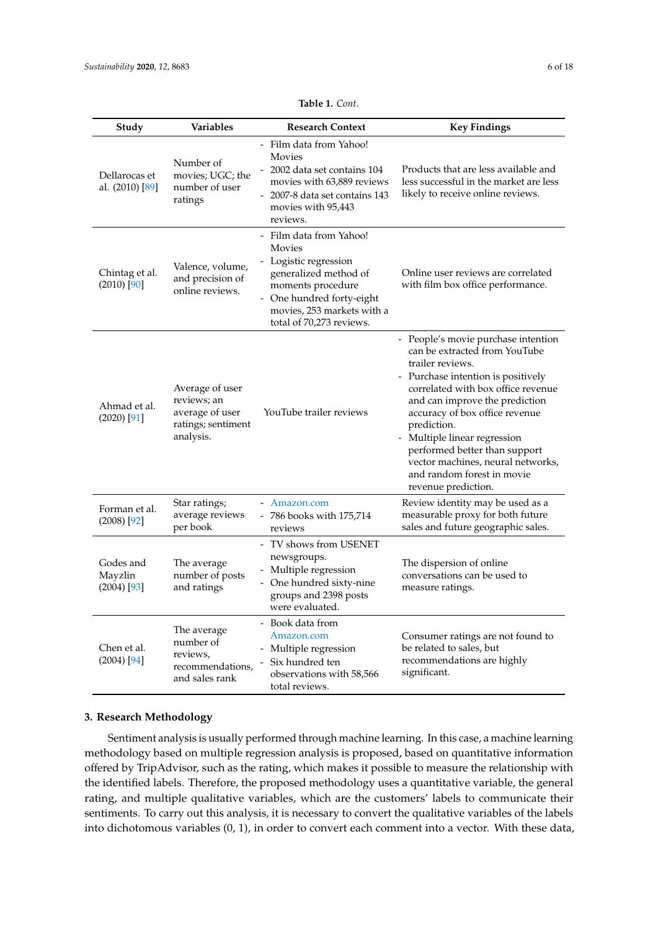<span id="page-5-0"></span>

| Study                                 | Variables                                                                            | <b>Research Context</b>                                                                                                                                                                         | <b>Key Findings</b>                                                                                                                                                                                                                                                                                                                                                                                                                              |
|---------------------------------------|--------------------------------------------------------------------------------------|-------------------------------------------------------------------------------------------------------------------------------------------------------------------------------------------------|--------------------------------------------------------------------------------------------------------------------------------------------------------------------------------------------------------------------------------------------------------------------------------------------------------------------------------------------------------------------------------------------------------------------------------------------------|
| Dellarocas et<br>al. (2010) [89]      | Number of<br>movies; UGC; the<br>number of user<br>ratings                           | - Film data from Yahoo!<br><b>Movies</b><br>2002 data set contains 104<br>movies with 63,889 reviews<br>2007-8 data set contains 143<br>movies with 95,443<br>reviews.                          | Products that are less available and<br>less successful in the market are less<br>likely to receive online reviews.                                                                                                                                                                                                                                                                                                                              |
| Chintag et al.<br>$(2010)$ [90]       | Valence, volume,<br>and precision of<br>online reviews.                              | - Film data from Yahoo!<br>Movies<br>- Logistic regression<br>generalized method of<br>moments procedure<br>- One hundred forty-eight<br>movies, 253 markets with a<br>total of 70,273 reviews. | Online user reviews are correlated<br>with film box office performance.                                                                                                                                                                                                                                                                                                                                                                          |
| Ahmad et al.<br>$(2020)$ [91]         | Average of user<br>reviews; an<br>average of user<br>ratings; sentiment<br>analysis. | YouTube trailer reviews                                                                                                                                                                         | - People's movie purchase intention<br>can be extracted from YouTube<br>trailer reviews.<br>- Purchase intention is positively<br>correlated with box office revenue<br>and can improve the prediction<br>accuracy of box office revenue<br>prediction.<br>Multiple linear regression<br>$\qquad \qquad \blacksquare$<br>performed better than support<br>vector machines, neural networks,<br>and random forest in movie<br>revenue prediction. |
| Forman et al.<br>$(2008)$ [92]        | Star ratings;<br>average reviews<br>per book                                         | - Amazon.com<br>786 books with 175,714<br>reviews                                                                                                                                               | Review identity may be used as a<br>measurable proxy for both future<br>sales and future geographic sales.                                                                                                                                                                                                                                                                                                                                       |
| Godes and<br>Mayzlin<br>$(2004)$ [93] | The average<br>number of posts<br>and ratings                                        | - TV shows from USENET<br>newsgroups.<br>Multiple regression<br>-<br>- One hundred sixty-nine<br>groups and 2398 posts<br>were evaluated.                                                       | The dispersion of online<br>conversations can be used to<br>measure ratings.                                                                                                                                                                                                                                                                                                                                                                     |
| Chen et al.<br>$(2004)$ [94]          | The average<br>number of<br>reviews,<br>recommendations,<br>and sales rank           | Book data from<br>Amazon.com<br>Multiple regression<br>-<br>Six hundred ten<br>observations with 58,566<br>total reviews.                                                                       | Consumer ratings are not found to<br>be related to sales, but<br>recommendations are highly<br>significant.                                                                                                                                                                                                                                                                                                                                      |

## **Table 1.** *Cont.*

## **3. Research Methodology**

Sentiment analysis is usually performed through machine learning. In this case, a machine learning methodology based on multiple regression analysis is proposed, based on quantitative information offered by TripAdvisor, such as the rating, which makes it possible to measure the relationship with the identified labels. Therefore, the proposed methodology uses a quantitative variable, the general rating, and multiple qualitative variables, which are the customers' labels to communicate their sentiments. To carry out this analysis, it is necessary to convert the qualitative variables of the labels into dichotomous variables (0, 1), in order to convert each comment into a vector. With these data,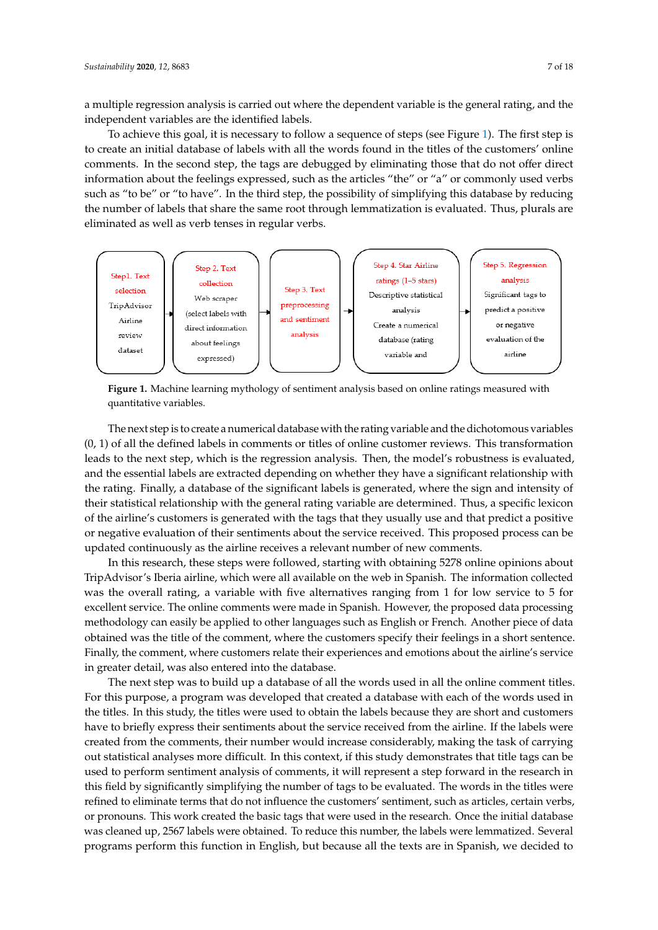a multiple regression analysis is carried out where the dependent variable is the general rating, and the independent variables are the identified labels.

To achieve this goal, it is necessary to follow a sequence of steps (see Figure 1). The first step is To achieve this goal, it is necessary to follow a sequence of steps (see Figure [1](#page-6-0)). The first step is to create an initial database of labels with all the words found in the titles of the customers' online to create an initial database of labels with all the words found in the titles of the customers' online comments. In the second step, the tags are debugged by eliminating those that do not offer direct comments. In the second step, the tags are debugged by eliminating those that do not offer direct information about the feelings expressed, such as the articles "the" or "a" or commonly used verbs information about the feelings expressed, such as the articles "the" or "a" or commonly used verbs such as "to be" or "to have". In the third step, the possibility of simplifying this database by reducing such as "to be" or "to have". In the third step, the possibility of simplifying this database by reducing the number of labels that share the same root through lemmatization is evaluated. Thus, plurals are the number of labels that share the same root through lemmatization is evaluated. Thus, plurals are eliminated as well as verb tenses in regular verbs. eliminated as well as verb tenses in regular verbs.

<span id="page-6-0"></span>

**Figure 1.** Machine learning mythology of sentiment analysis based on online ratings measured with **Figure 1.** Machine learning mythology of sentiment analysis based on online ratings measured with quantitative variables. quantitative variables.

The next step is to create a numerical database with the rating variable and the dichotomous The next step is to create a numerical database with the rating variable and the dichotomous variables  $(v, t)$  of all the defined labels in comments or the so-or online customer reviews. This transformation leads to the next step, which is the regression analysis. Then, the model's robustness is evaluated, leads to the next step, which is the regression analysis. Then, the model's robustness is evaluated, and the essential labels are extracted depending on whether they have a significant relationship which the rating. Finally, a database of the significant labels is generated, where the sign and intensity of and statistical relationship with the general rating variable are determined. Thus, a specific relation of the airline's customers is generated with the tags that they usually use and that predict a positive of the tags that they usually use and that predict a positive (0, 1) of all the defined labels in comments or titles of online customer reviews. This transformation and the essential labels are extracted depending on whether they have a significant relationship with their statistical relationship with the general rating variable are determined. Thus, a specific lexicon or negative evaluation of their sentiments about the service received. This proposed process can be updated continuously as the airline receives a relevant number of new comments.

In this research, these steps were followed, starting with obtaining 5278 online opinions about TripAdvisor's Iberia airline, which were all available on the web in Spanish. The information collected was the overall rating, a variable with five alternatives ranging from 1 for low service to 5 for excellent service. The online comments were made in Spanish. However, the proposed data processing methodology can easily be applied to other languages such as English or French. Another piece of data obtained was the title of the comment, where the customers specify their feelings in a short sentence. Finally, the comment, where customers relate their experiences and emotions about the airline's service in greater detail, was also entered into the database.

The next step was to build up a database of all the words used in all the online comment titles. For this purpose, a program was developed that created a database with each of the words used in the titles. In this study, the titles were used to obtain the labels because they are short and customers have to briefly express their sentiments about the service received from the airline. If the labels were created from the comments, their number would increase considerably, making the task of carrying out statistical analyses more difficult. In this context, if this study demonstrates that title tags can be used to perform sentiment analysis of comments, it will represent a step forward in the research in this field by significantly simplifying the number of tags to be evaluated. The words in the titles were refined to eliminate terms that do not influence the customers' sentiment, such as articles, certain verbs, or pronouns. This work created the basic tags that were used in the research. Once the initial database was cleaned up, 2567 labels were obtained. To reduce this number, the labels were lemmatized. Several programs perform this function in English, but because all the texts are in Spanish, we decided to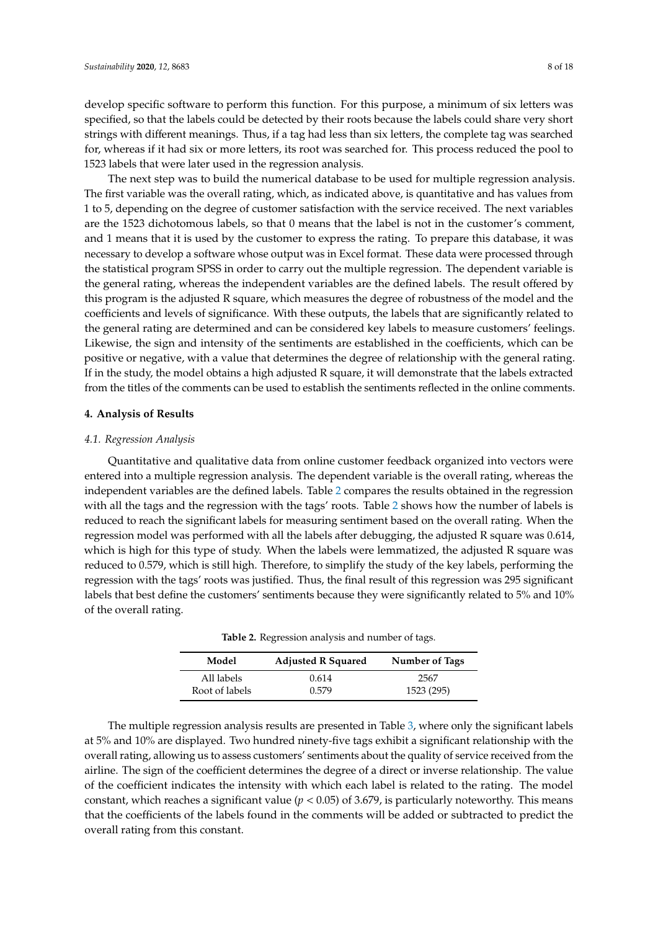develop specific software to perform this function. For this purpose, a minimum of six letters was specified, so that the labels could be detected by their roots because the labels could share very short strings with different meanings. Thus, if a tag had less than six letters, the complete tag was searched for, whereas if it had six or more letters, its root was searched for. This process reduced the pool to 1523 labels that were later used in the regression analysis.

The next step was to build the numerical database to be used for multiple regression analysis. The first variable was the overall rating, which, as indicated above, is quantitative and has values from 1 to 5, depending on the degree of customer satisfaction with the service received. The next variables are the 1523 dichotomous labels, so that 0 means that the label is not in the customer's comment, and 1 means that it is used by the customer to express the rating. To prepare this database, it was necessary to develop a software whose output was in Excel format. These data were processed through the statistical program SPSS in order to carry out the multiple regression. The dependent variable is the general rating, whereas the independent variables are the defined labels. The result offered by this program is the adjusted R square, which measures the degree of robustness of the model and the coefficients and levels of significance. With these outputs, the labels that are significantly related to the general rating are determined and can be considered key labels to measure customers' feelings. Likewise, the sign and intensity of the sentiments are established in the coefficients, which can be positive or negative, with a value that determines the degree of relationship with the general rating. If in the study, the model obtains a high adjusted R square, it will demonstrate that the labels extracted from the titles of the comments can be used to establish the sentiments reflected in the online comments.

#### **4. Analysis of Results**

### *4.1. Regression Analysis*

Quantitative and qualitative data from online customer feedback organized into vectors were entered into a multiple regression analysis. The dependent variable is the overall rating, whereas the independent variables are the defined labels. Table [2](#page-7-0) compares the results obtained in the regression with all the tags and the regression with the tags' roots. Table [2](#page-7-0) shows how the number of labels is reduced to reach the significant labels for measuring sentiment based on the overall rating. When the regression model was performed with all the labels after debugging, the adjusted R square was 0.614, which is high for this type of study. When the labels were lemmatized, the adjusted R square was reduced to 0.579, which is still high. Therefore, to simplify the study of the key labels, performing the regression with the tags' roots was justified. Thus, the final result of this regression was 295 significant labels that best define the customers' sentiments because they were significantly related to 5% and 10% of the overall rating.

**Table 2.** Regression analysis and number of tags.

<span id="page-7-0"></span>

| Model          | <b>Adjusted R Squared</b> | Number of Tags |
|----------------|---------------------------|----------------|
| All labels     | 0.614                     | 2567           |
| Root of labels | 0.579                     | 1523 (295)     |

The multiple regression analysis results are presented in Table [3,](#page-10-0) where only the significant labels at 5% and 10% are displayed. Two hundred ninety-five tags exhibit a significant relationship with the overall rating, allowing us to assess customers' sentiments about the quality of service received from the airline. The sign of the coefficient determines the degree of a direct or inverse relationship. The value of the coefficient indicates the intensity with which each label is related to the rating. The model constant, which reaches a significant value ( $p < 0.05$ ) of 3.679, is particularly noteworthy. This means that the coefficients of the labels found in the comments will be added or subtracted to predict the overall rating from this constant.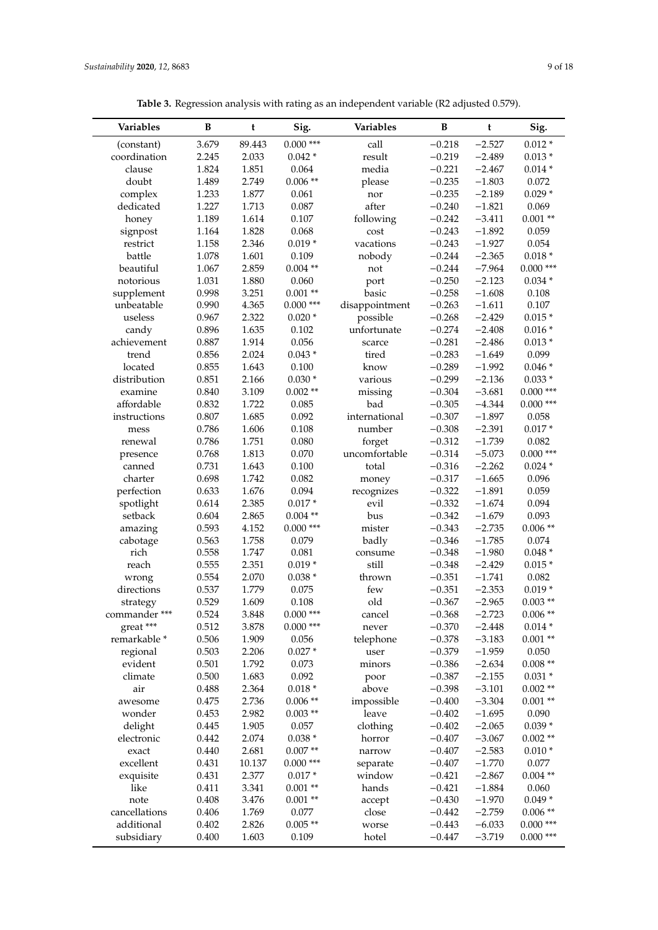| Variables     | B     | t      | Sig.        | Variables      | B        | t        | Sig.        |
|---------------|-------|--------|-------------|----------------|----------|----------|-------------|
| (constant)    | 3.679 | 89.443 | $0.000$ *** | call           | $-0.218$ | $-2.527$ | $0.012 *$   |
| coordination  | 2.245 | 2.033  | $0.042*$    | result         | $-0.219$ | $-2.489$ | $0.013*$    |
| clause        | 1.824 | 1.851  | 0.064       | media          | $-0.221$ | $-2.467$ | $0.014*$    |
| doubt         | 1.489 | 2.749  | $0.006**$   | please         | $-0.235$ | $-1.803$ | 0.072       |
| complex       | 1.233 | 1.877  | 0.061       | nor            | $-0.235$ | $-2.189$ | $0.029*$    |
| dedicated     | 1.227 | 1.713  | 0.087       | after          | $-0.240$ | $-1.821$ | 0.069       |
| honey         | 1.189 | 1.614  | 0.107       | following      | $-0.242$ | $-3.411$ | $0.001**$   |
| signpost      | 1.164 | 1.828  | 0.068       | cost           | $-0.243$ | $-1.892$ | 0.059       |
| restrict      | 1.158 | 2.346  | $0.019*$    | vacations      | $-0.243$ | $-1.927$ | 0.054       |
| battle        | 1.078 | 1.601  | 0.109       | nobody         | $-0.244$ | $-2.365$ | $0.018*$    |
| beautiful     | 1.067 | 2.859  | $0.004$ **  | not            | $-0.244$ | $-7.964$ | $0.000$ *** |
| notorious     | 1.031 | 1.880  | 0.060       | port           | $-0.250$ | $-2.123$ | $0.034*$    |
| supplement    | 0.998 | 3.251  | $0.001**$   | basic          | $-0.258$ | $-1.608$ | 0.108       |
| unbeatable    | 0.990 | 4.365  | $0.000$ *** | disappointment | $-0.263$ | $-1.611$ | 0.107       |
| useless       | 0.967 | 2.322  | $0.020*$    | possible       | $-0.268$ | $-2.429$ | $0.015*$    |
| candy         | 0.896 | 1.635  | 0.102       | unfortunate    | $-0.274$ | $-2.408$ | $0.016*$    |
| achievement   | 0.887 | 1.914  | 0.056       | scarce         | $-0.281$ | $-2.486$ | $0.013*$    |
| trend         | 0.856 | 2.024  | $0.043*$    | tired          | $-0.283$ | $-1.649$ | 0.099       |
| located       | 0.855 | 1.643  | 0.100       | know           | $-0.289$ | $-1.992$ | $0.046*$    |
| distribution  | 0.851 | 2.166  | $0.030*$    | various        | $-0.299$ | $-2.136$ | $0.033*$    |
| examine       | 0.840 | 3.109  | $0.002**$   | missing        | $-0.304$ | $-3.681$ | $0.000$ *** |
| affordable    | 0.832 | 1.722  | 0.085       | bad            | $-0.305$ | $-4.344$ | $0.000$ *** |
| instructions  | 0.807 | 1.685  | 0.092       | international  | $-0.307$ | $-1.897$ | 0.058       |
| mess          | 0.786 | 1.606  | 0.108       | number         | $-0.308$ | $-2.391$ | $0.017*$    |
| renewal       | 0.786 | 1.751  | 0.080       | forget         | $-0.312$ | $-1.739$ | 0.082       |
| presence      | 0.768 | 1.813  | 0.070       | uncomfortable  | $-0.314$ | $-5.073$ | $0.000$ *** |
| canned        | 0.731 | 1.643  | 0.100       | total          | $-0.316$ | $-2.262$ | $0.024*$    |
| charter       | 0.698 | 1.742  | 0.082       | money          | $-0.317$ | $-1.665$ | 0.096       |
| perfection    | 0.633 | 1.676  | 0.094       | recognizes     | $-0.322$ | $-1.891$ | 0.059       |
| spotlight     | 0.614 | 2.385  | $0.017*$    | evil           | $-0.332$ | $-1.674$ | 0.094       |
| setback       | 0.604 | 2.865  | $0.004$ **  | bus            | $-0.342$ | $-1.679$ | 0.093       |
| amazing       | 0.593 | 4.152  | $0.000$ *** | mister         | $-0.343$ | $-2.735$ | $0.006**$   |
| cabotage      | 0.563 | 1.758  | 0.079       | badly          | $-0.346$ | $-1.785$ | 0.074       |
| rich          | 0.558 | 1.747  | 0.081       | consume        | $-0.348$ | $-1.980$ | $0.048*$    |
| reach         | 0.555 | 2.351  | $0.019*$    | still          | $-0.348$ | $-2.429$ | $0.015*$    |
| wrong         | 0.554 | 2.070  | $0.038*$    | thrown         | $-0.351$ | $-1.741$ | 0.082       |
| directions    | 0.537 | 1.779  | 0.075       | few            | $-0.351$ | $-2.353$ | $0.019*$    |
| strategy      | 0.529 | 1.609  | 0.108       | old            | $-0.367$ | $-2.965$ | $0.003**$   |
| commander *** | 0.524 | 3.848  | $0.000$ *** | cancel         | $-0.368$ | $-2.723$ | $0.006**$   |
| great***      | 0.512 | 3.878  | $0.000$ *** | never          | $-0.370$ | $-2.448$ | $0.014*$    |
| remarkable*   | 0.506 | 1.909  | 0.056       | telephone      | $-0.378$ | $-3.183$ | $0.001**$   |
| regional      | 0.503 | 2.206  | $0.027*$    | user           | $-0.379$ | $-1.959$ | 0.050       |
| evident       | 0.501 | 1.792  | 0.073       | minors         | $-0.386$ | $-2.634$ | $0.008**$   |
| climate       | 0.500 | 1.683  | 0.092       | poor           | $-0.387$ | $-2.155$ | $0.031 *$   |
| air           | 0.488 | 2.364  | $0.018*$    | above          | $-0.398$ | $-3.101$ | $0.002**$   |
| awesome       | 0.475 | 2.736  | $0.006**$   | impossible     | $-0.400$ | $-3.304$ | $0.001**$   |
| wonder        | 0.453 | 2.982  | $0.003**$   | leave          | $-0.402$ | $-1.695$ | 0.090       |
| delight       | 0.445 | 1.905  | 0.057       | clothing       | $-0.402$ | $-2.065$ | $0.039*$    |
| electronic    | 0.442 | 2.074  | $0.038*$    | horror         | $-0.407$ | $-3.067$ | $0.002**$   |
| exact         | 0.440 | 2.681  | $0.007**$   | narrow         | $-0.407$ | $-2.583$ | $0.010*$    |
| excellent     | 0.431 | 10.137 | $0.000$ *** | separate       | $-0.407$ | $-1.770$ | 0.077       |
| exquisite     | 0.431 | 2.377  | $0.017*$    | window         | $-0.421$ | $-2.867$ | $0.004$ **  |
| like          | 0.411 | 3.341  | $0.001**$   | hands          | $-0.421$ | $-1.884$ | 0.060       |
| note          | 0.408 | 3.476  | $0.001**$   | accept         | $-0.430$ | $-1.970$ | $0.049*$    |
| cancellations | 0.406 | 1.769  | 0.077       | close          | $-0.442$ | $-2.759$ | $0.006**$   |
| additional    | 0.402 | 2.826  | $0.005**$   | worse          | $-0.443$ | $-6.033$ | $0.000$ *** |
| subsidiary    | 0.400 | 1.603  | 0.109       | hotel          | $-0.447$ | $-3.719$ | $0.000$ *** |

**Table 3.** Regression analysis with rating as an independent variable (R2 adjusted 0.579).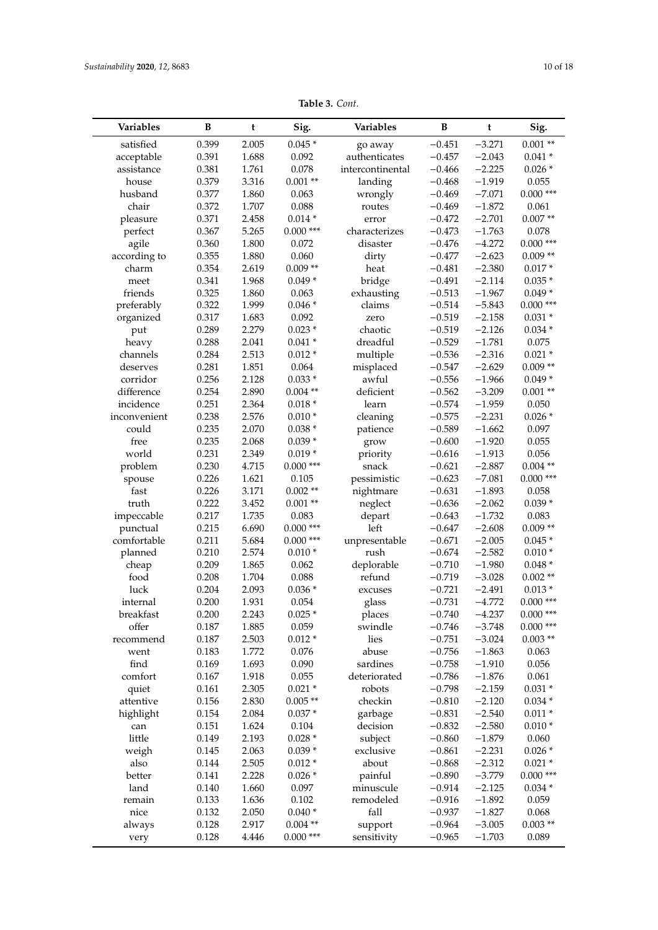| Table 3. Cont. |  |  |
|----------------|--|--|
|----------------|--|--|

| Variables    | B     | t     | Sig.        | Variables        | B        | t        | Sig.        |
|--------------|-------|-------|-------------|------------------|----------|----------|-------------|
| satisfied    | 0.399 | 2.005 | $0.045*$    | go away          | $-0.451$ | $-3.271$ | $0.001**$   |
| acceptable   | 0.391 | 1.688 | 0.092       | authenticates    | $-0.457$ | $-2.043$ | $0.041*$    |
| assistance   | 0.381 | 1.761 | 0.078       | intercontinental | $-0.466$ | $-2.225$ | $0.026*$    |
| house        | 0.379 | 3.316 | $0.001**$   | landing          | $-0.468$ | $-1.919$ | 0.055       |
| husband      | 0.377 | 1.860 | 0.063       | wrongly          | $-0.469$ | $-7.071$ | $0.000$ *** |
| chair        | 0.372 | 1.707 | 0.088       | routes           | $-0.469$ | $-1.872$ | 0.061       |
| pleasure     | 0.371 | 2.458 | $0.014*$    | error            | $-0.472$ | $-2.701$ | $0.007**$   |
| perfect      | 0.367 | 5.265 | $0.000$ *** | characterizes    | $-0.473$ | $-1.763$ | 0.078       |
| agile        | 0.360 | 1.800 | 0.072       | disaster         | $-0.476$ | $-4.272$ | $0.000$ *** |
| according to | 0.355 | 1.880 | 0.060       | dirty            | $-0.477$ | $-2.623$ | $0.009**$   |
| charm        | 0.354 | 2.619 | $0.009**$   | heat             | $-0.481$ | $-2.380$ | $0.017*$    |
| meet         | 0.341 | 1.968 | $0.049*$    | bridge           | $-0.491$ | $-2.114$ | $0.035*$    |
| friends      | 0.325 | 1.860 | 0.063       | exhausting       | $-0.513$ | $-1.967$ | $0.049*$    |
| preferably   | 0.322 | 1.999 | $0.046*$    | claims           | $-0.514$ | $-5.843$ | $0.000$ *** |
| organized    | 0.317 | 1.683 | 0.092       | zero             | $-0.519$ | $-2.158$ | $0.031 *$   |
| put          | 0.289 | 2.279 | $0.023*$    | chaotic          | $-0.519$ | $-2.126$ | $0.034*$    |
| heavy        | 0.288 | 2.041 | $0.041*$    | dreadful         | $-0.529$ | $-1.781$ | 0.075       |
| channels     | 0.284 | 2.513 | $0.012*$    | multiple         | $-0.536$ | $-2.316$ | $0.021 *$   |
| deserves     | 0.281 | 1.851 | 0.064       | misplaced        | $-0.547$ | $-2.629$ | $0.009**$   |
| corridor     | 0.256 | 2.128 | $0.033*$    | awful            | $-0.556$ | $-1.966$ | $0.049*$    |
| difference   | 0.254 | 2.890 | $0.004$ **  | deficient        | $-0.562$ | $-3.209$ | $0.001**$   |
| incidence    | 0.251 | 2.364 | $0.018*$    | learn            | $-0.574$ | $-1.959$ | 0.050       |
| inconvenient | 0.238 | 2.576 | $0.010*$    | cleaning         | $-0.575$ | $-2.231$ | $0.026*$    |
| could        | 0.235 | 2.070 | $0.038*$    | patience         | $-0.589$ | $-1.662$ | 0.097       |
| free         | 0.235 | 2.068 | $0.039*$    | grow             | $-0.600$ | $-1.920$ | 0.055       |
| world        | 0.231 | 2.349 | $0.019*$    | priority         | $-0.616$ | $-1.913$ | 0.056       |
| problem      | 0.230 | 4.715 | $0.000$ *** | snack            | $-0.621$ | $-2.887$ | $0.004$ **  |
| spouse       | 0.226 | 1.621 | 0.105       | pessimistic      | $-0.623$ | $-7.081$ | $0.000$ *** |
| fast         | 0.226 | 3.171 | $0.002**$   | nightmare        | $-0.631$ | $-1.893$ | 0.058       |
| truth        | 0.222 | 3.452 | $0.001**$   | neglect          | $-0.636$ | $-2.062$ | $0.039*$    |
| impeccable   | 0.217 | 1.735 | 0.083       | depart           | $-0.643$ | $-1.732$ | 0.083       |
| punctual     | 0.215 | 6.690 | $0.000$ *** | left             | $-0.647$ | $-2.608$ | $0.009**$   |
| comfortable  | 0.211 | 5.684 | $0.000$ *** | unpresentable    | $-0.671$ | $-2.005$ | $0.045*$    |
| planned      | 0.210 | 2.574 | $0.010*$    | rush             | $-0.674$ | $-2.582$ | $0.010*$    |
| cheap        | 0.209 | 1.865 | 0.062       | deplorable       | $-0.710$ | $-1.980$ | $0.048*$    |
| food         | 0.208 | 1.704 | 0.088       | refund           | $-0.719$ | $-3.028$ | $0.002**$   |
| luck         | 0.204 | 2.093 | $0.036*$    | excuses          | $-0.721$ | $-2.491$ | $0.013*$    |
| internal     | 0.200 | 1.931 | 0.054       | glass            | $-0.731$ | $-4.772$ | $0.000$ *** |
| breakfast    | 0.200 | 2.243 | $0.025*$    | places           | $-0.740$ | $-4.237$ | $0.000$ *** |
| offer        | 0.187 | 1.885 | 0.059       | swindle          | $-0.746$ | $-3.748$ | $0.000$ *** |
| recommend    | 0.187 | 2.503 | $0.012 *$   | lies             | $-0.751$ | $-3.024$ | $0.003**$   |
| went         | 0.183 | 1.772 | 0.076       | abuse            | $-0.756$ | $-1.863$ | 0.063       |
| find         | 0.169 | 1.693 | 0.090       | sardines         | $-0.758$ | $-1.910$ | 0.056       |
| comfort      | 0.167 | 1.918 | 0.055       | deteriorated     | $-0.786$ | $-1.876$ | 0.061       |
| quiet        | 0.161 | 2.305 | $0.021 *$   | robots           | $-0.798$ | $-2.159$ | $0.031 *$   |
| attentive    | 0.156 | 2.830 | $0.005**$   | checkin          | $-0.810$ | $-2.120$ | $0.034*$    |
| highlight    | 0.154 | 2.084 | $0.037*$    | garbage          | $-0.831$ | $-2.540$ | $0.011*$    |
| can          | 0.151 | 1.624 | 0.104       | decision         | $-0.832$ | $-2.580$ | $0.010*$    |
| little       | 0.149 | 2.193 | $0.028*$    | subject          | $-0.860$ | $-1.879$ | 0.060       |
| weigh        | 0.145 | 2.063 | $0.039*$    | exclusive        | $-0.861$ | $-2.231$ | $0.026*$    |
| also         | 0.144 | 2.505 | $0.012*$    | about            | $-0.868$ | $-2.312$ | $0.021 *$   |
| better       | 0.141 | 2.228 | $0.026*$    | painful          | $-0.890$ | $-3.779$ | $0.000$ *** |
| land         | 0.140 | 1.660 | 0.097       | minuscule        | $-0.914$ | $-2.125$ | $0.034*$    |
| remain       | 0.133 | 1.636 | 0.102       | remodeled        | $-0.916$ | $-1.892$ | 0.059       |
| nice         | 0.132 | 2.050 | $0.040*$    | fall             | $-0.937$ | $-1.827$ | 0.068       |
| always       | 0.128 | 2.917 | $0.004$ **  | support          | $-0.964$ | $-3.005$ | $0.003**$   |
| very         | 0.128 | 4.446 | $0.000$ *** | sensitivity      | $-0.965$ | $-1.703$ | 0.089       |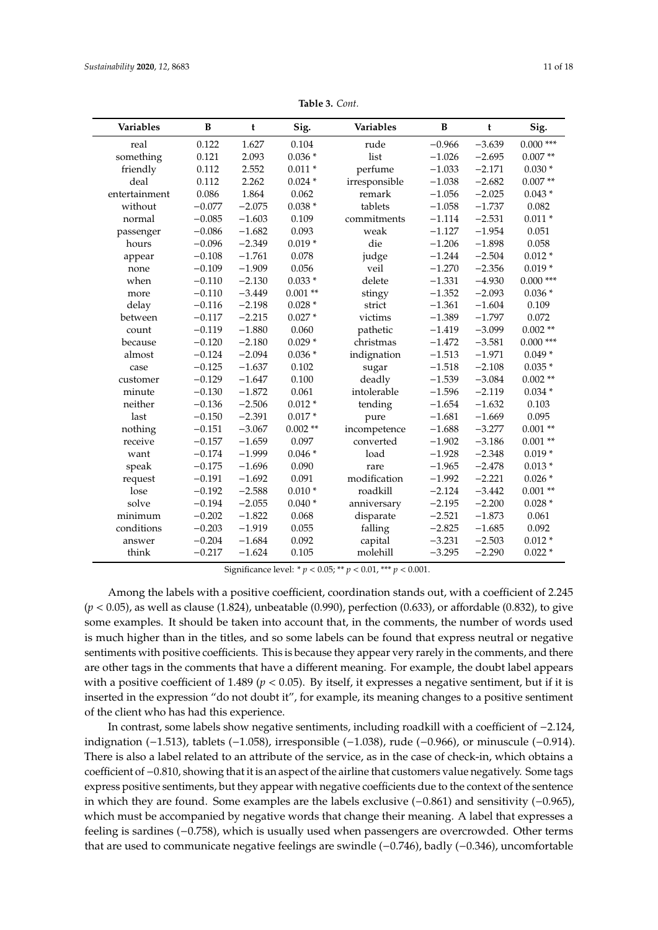<span id="page-10-0"></span>

| <b>Variables</b> | B        | t        | Sig.      | <b>Variables</b> | B        | t        | Sig.        |
|------------------|----------|----------|-----------|------------------|----------|----------|-------------|
| real             | 0.122    | 1.627    | 0.104     | rude             | $-0.966$ | $-3.639$ | $0.000$ *** |
| something        | 0.121    | 2.093    | $0.036*$  | list             | $-1.026$ | $-2.695$ | $0.007**$   |
| friendly         | 0.112    | 2.552    | $0.011*$  | perfume          | $-1.033$ | $-2.171$ | $0.030*$    |
| deal             | 0.112    | 2.262    | $0.024*$  | irresponsible    | $-1.038$ | $-2.682$ | $0.007**$   |
| entertainment    | 0.086    | 1.864    | 0.062     | remark           | $-1.056$ | $-2.025$ | $0.043*$    |
| without          | $-0.077$ | $-2.075$ | $0.038*$  | tablets          | $-1.058$ | $-1.737$ | 0.082       |
| normal           | $-0.085$ | $-1.603$ | 0.109     | commitments      | $-1.114$ | $-2.531$ | $0.011*$    |
| passenger        | $-0.086$ | $-1.682$ | 0.093     | weak             | $-1.127$ | $-1.954$ | 0.051       |
| hours            | $-0.096$ | $-2.349$ | $0.019*$  | die              | $-1.206$ | $-1.898$ | 0.058       |
| appear           | $-0.108$ | $-1.761$ | 0.078     | judge            | $-1.244$ | $-2.504$ | $0.012*$    |
| none             | $-0.109$ | $-1.909$ | 0.056     | veil             | $-1.270$ | $-2.356$ | $0.019*$    |
| when             | $-0.110$ | $-2.130$ | $0.033*$  | delete           | $-1.331$ | $-4.930$ | $0.000$ *** |
| more             | $-0.110$ | $-3.449$ | $0.001**$ | stingy           | $-1.352$ | $-2.093$ | $0.036*$    |
| delay            | $-0.116$ | $-2.198$ | $0.028*$  | strict           | $-1.361$ | $-1.604$ | 0.109       |
| between          | $-0.117$ | $-2.215$ | $0.027*$  | victims          | $-1.389$ | $-1.797$ | 0.072       |
| count            | $-0.119$ | $-1.880$ | 0.060     | pathetic         | $-1.419$ | $-3.099$ | $0.002**$   |
| because          | $-0.120$ | $-2.180$ | $0.029*$  | christmas        | $-1.472$ | $-3.581$ | $0.000$ *** |
| almost           | $-0.124$ | $-2.094$ | $0.036*$  | indignation      | $-1.513$ | $-1.971$ | $0.049*$    |
| case             | $-0.125$ | $-1.637$ | 0.102     | sugar            | $-1.518$ | $-2.108$ | $0.035*$    |
| customer         | $-0.129$ | $-1.647$ | 0.100     | deadly           | $-1.539$ | $-3.084$ | $0.002**$   |
| minute           | $-0.130$ | $-1.872$ | 0.061     | intolerable      | $-1.596$ | $-2.119$ | $0.034*$    |
| neither          | $-0.136$ | $-2.506$ | $0.012*$  | tending          | $-1.654$ | $-1.632$ | 0.103       |
| last             | $-0.150$ | $-2.391$ | $0.017*$  | pure             | $-1.681$ | $-1.669$ | 0.095       |
| nothing          | $-0.151$ | $-3.067$ | $0.002**$ | incompetence     | $-1.688$ | $-3.277$ | $0.001**$   |
| receive          | $-0.157$ | $-1.659$ | 0.097     | converted        | $-1.902$ | $-3.186$ | $0.001**$   |
| want             | $-0.174$ | $-1.999$ | $0.046*$  | load             | $-1.928$ | $-2.348$ | $0.019*$    |
| speak            | $-0.175$ | $-1.696$ | 0.090     | rare             | $-1.965$ | $-2.478$ | $0.013*$    |
| request          | $-0.191$ | $-1.692$ | 0.091     | modification     | $-1.992$ | $-2.221$ | $0.026*$    |
| lose             | $-0.192$ | $-2.588$ | $0.010*$  | roadkill         | $-2.124$ | $-3.442$ | $0.001**$   |
| solve            | $-0.194$ | $-2.055$ | $0.040*$  | anniversary      | $-2.195$ | $-2.200$ | $0.028*$    |
| minimum          | $-0.202$ | $-1.822$ | 0.068     | disparate        | $-2.521$ | $-1.873$ | 0.061       |
| conditions       | $-0.203$ | $-1.919$ | 0.055     | falling          | $-2.825$ | $-1.685$ | 0.092       |
| answer           | $-0.204$ | $-1.684$ | 0.092     | capital          | $-3.231$ | $-2.503$ | $0.012*$    |
| think            | $-0.217$ | $-1.624$ | 0.105     | molehill         | $-3.295$ | $-2.290$ | $0.022*$    |

**Table 3.** *Cont.*

Significance level: \* *p* < 0.05; \*\* *p* < 0.01, \*\*\* *p* < 0.001.

Among the labels with a positive coefficient, coordination stands out, with a coefficient of 2.245 (*p* < 0.05), as well as clause (1.824), unbeatable (0.990), perfection (0.633), or affordable (0.832), to give some examples. It should be taken into account that, in the comments, the number of words used is much higher than in the titles, and so some labels can be found that express neutral or negative sentiments with positive coefficients. This is because they appear very rarely in the comments, and there are other tags in the comments that have a different meaning. For example, the doubt label appears with a positive coefficient of 1.489 ( $p < 0.05$ ). By itself, it expresses a negative sentiment, but if it is inserted in the expression "do not doubt it", for example, its meaning changes to a positive sentiment of the client who has had this experience.

In contrast, some labels show negative sentiments, including roadkill with a coefficient of −2.124, indignation (−1.513), tablets (−1.058), irresponsible (−1.038), rude (−0.966), or minuscule (−0.914). There is also a label related to an attribute of the service, as in the case of check-in, which obtains a coefficient of −0.810, showing that it is an aspect of the airline that customers value negatively. Some tags express positive sentiments, but they appear with negative coefficients due to the context of the sentence in which they are found. Some examples are the labels exclusive (−0.861) and sensitivity (−0.965), which must be accompanied by negative words that change their meaning. A label that expresses a feeling is sardines (−0.758), which is usually used when passengers are overcrowded. Other terms that are used to communicate negative feelings are swindle (−0.746), badly (−0.346), uncomfortable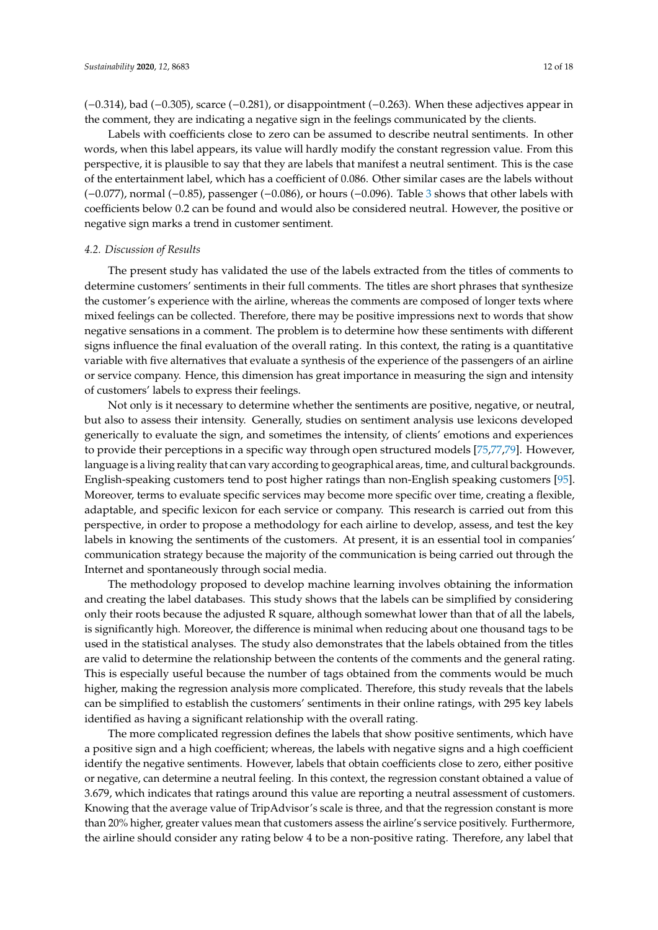(−0.314), bad (−0.305), scarce (−0.281), or disappointment (−0.263). When these adjectives appear in the comment, they are indicating a negative sign in the feelings communicated by the clients.

Labels with coefficients close to zero can be assumed to describe neutral sentiments. In other words, when this label appears, its value will hardly modify the constant regression value. From this perspective, it is plausible to say that they are labels that manifest a neutral sentiment. This is the case of the entertainment label, which has a coefficient of 0.086. Other similar cases are the labels without (−0.077), normal (−0.85), passenger (−0.086), or hours (−0.096). Table [3](#page-10-0) shows that other labels with coefficients below 0.2 can be found and would also be considered neutral. However, the positive or negative sign marks a trend in customer sentiment.

#### *4.2. Discussion of Results*

The present study has validated the use of the labels extracted from the titles of comments to determine customers' sentiments in their full comments. The titles are short phrases that synthesize the customer's experience with the airline, whereas the comments are composed of longer texts where mixed feelings can be collected. Therefore, there may be positive impressions next to words that show negative sensations in a comment. The problem is to determine how these sentiments with different signs influence the final evaluation of the overall rating. In this context, the rating is a quantitative variable with five alternatives that evaluate a synthesis of the experience of the passengers of an airline or service company. Hence, this dimension has great importance in measuring the sign and intensity of customers' labels to express their feelings.

Not only is it necessary to determine whether the sentiments are positive, negative, or neutral, but also to assess their intensity. Generally, studies on sentiment analysis use lexicons developed generically to evaluate the sign, and sometimes the intensity, of clients' emotions and experiences to provide their perceptions in a specific way through open structured models [\[75](#page-16-12)[,77](#page-16-14)[,79\]](#page-17-0). However, language is a living reality that can vary according to geographical areas, time, and cultural backgrounds. English-speaking customers tend to post higher ratings than non-English speaking customers [\[95\]](#page-17-16). Moreover, terms to evaluate specific services may become more specific over time, creating a flexible, adaptable, and specific lexicon for each service or company. This research is carried out from this perspective, in order to propose a methodology for each airline to develop, assess, and test the key labels in knowing the sentiments of the customers. At present, it is an essential tool in companies' communication strategy because the majority of the communication is being carried out through the Internet and spontaneously through social media.

The methodology proposed to develop machine learning involves obtaining the information and creating the label databases. This study shows that the labels can be simplified by considering only their roots because the adjusted R square, although somewhat lower than that of all the labels, is significantly high. Moreover, the difference is minimal when reducing about one thousand tags to be used in the statistical analyses. The study also demonstrates that the labels obtained from the titles are valid to determine the relationship between the contents of the comments and the general rating. This is especially useful because the number of tags obtained from the comments would be much higher, making the regression analysis more complicated. Therefore, this study reveals that the labels can be simplified to establish the customers' sentiments in their online ratings, with 295 key labels identified as having a significant relationship with the overall rating.

The more complicated regression defines the labels that show positive sentiments, which have a positive sign and a high coefficient; whereas, the labels with negative signs and a high coefficient identify the negative sentiments. However, labels that obtain coefficients close to zero, either positive or negative, can determine a neutral feeling. In this context, the regression constant obtained a value of 3.679, which indicates that ratings around this value are reporting a neutral assessment of customers. Knowing that the average value of TripAdvisor's scale is three, and that the regression constant is more than 20% higher, greater values mean that customers assess the airline's service positively. Furthermore, the airline should consider any rating below 4 to be a non-positive rating. Therefore, any label that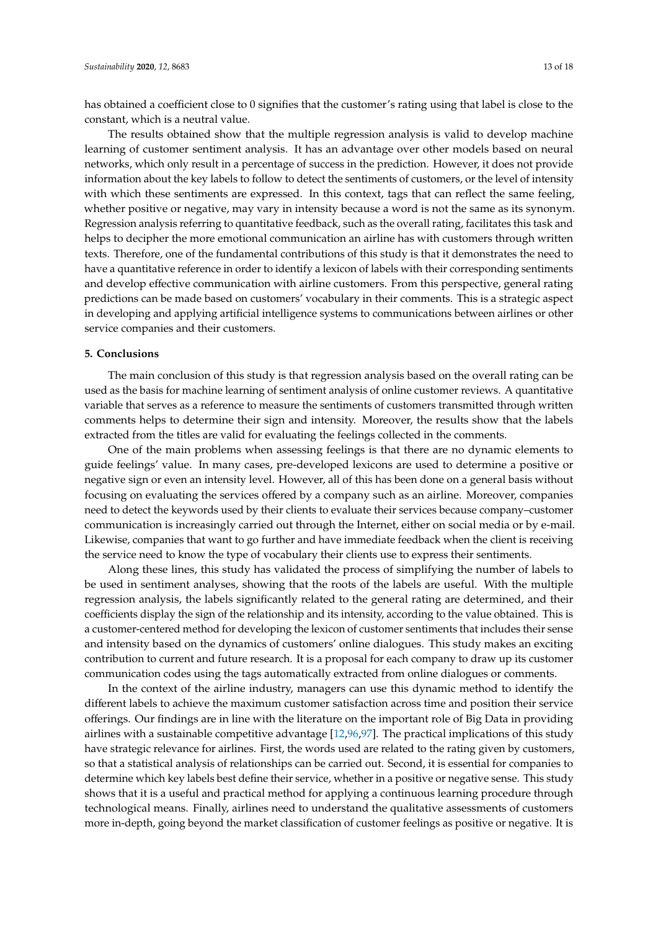has obtained a coefficient close to 0 signifies that the customer's rating using that label is close to the constant, which is a neutral value.

The results obtained show that the multiple regression analysis is valid to develop machine learning of customer sentiment analysis. It has an advantage over other models based on neural networks, which only result in a percentage of success in the prediction. However, it does not provide information about the key labels to follow to detect the sentiments of customers, or the level of intensity with which these sentiments are expressed. In this context, tags that can reflect the same feeling, whether positive or negative, may vary in intensity because a word is not the same as its synonym. Regression analysis referring to quantitative feedback, such as the overall rating, facilitates this task and helps to decipher the more emotional communication an airline has with customers through written texts. Therefore, one of the fundamental contributions of this study is that it demonstrates the need to have a quantitative reference in order to identify a lexicon of labels with their corresponding sentiments and develop effective communication with airline customers. From this perspective, general rating predictions can be made based on customers' vocabulary in their comments. This is a strategic aspect in developing and applying artificial intelligence systems to communications between airlines or other service companies and their customers.

#### **5. Conclusions**

The main conclusion of this study is that regression analysis based on the overall rating can be used as the basis for machine learning of sentiment analysis of online customer reviews. A quantitative variable that serves as a reference to measure the sentiments of customers transmitted through written comments helps to determine their sign and intensity. Moreover, the results show that the labels extracted from the titles are valid for evaluating the feelings collected in the comments.

One of the main problems when assessing feelings is that there are no dynamic elements to guide feelings' value. In many cases, pre-developed lexicons are used to determine a positive or negative sign or even an intensity level. However, all of this has been done on a general basis without focusing on evaluating the services offered by a company such as an airline. Moreover, companies need to detect the keywords used by their clients to evaluate their services because company–customer communication is increasingly carried out through the Internet, either on social media or by e-mail. Likewise, companies that want to go further and have immediate feedback when the client is receiving the service need to know the type of vocabulary their clients use to express their sentiments.

Along these lines, this study has validated the process of simplifying the number of labels to be used in sentiment analyses, showing that the roots of the labels are useful. With the multiple regression analysis, the labels significantly related to the general rating are determined, and their coefficients display the sign of the relationship and its intensity, according to the value obtained. This is a customer-centered method for developing the lexicon of customer sentiments that includes their sense and intensity based on the dynamics of customers' online dialogues. This study makes an exciting contribution to current and future research. It is a proposal for each company to draw up its customer communication codes using the tags automatically extracted from online dialogues or comments.

In the context of the airline industry, managers can use this dynamic method to identify the different labels to achieve the maximum customer satisfaction across time and position their service offerings. Our findings are in line with the literature on the important role of Big Data in providing airlines with a sustainable competitive advantage [\[12](#page-14-4)[,96](#page-17-17)[,97\]](#page-17-18). The practical implications of this study have strategic relevance for airlines. First, the words used are related to the rating given by customers, so that a statistical analysis of relationships can be carried out. Second, it is essential for companies to determine which key labels best define their service, whether in a positive or negative sense. This study shows that it is a useful and practical method for applying a continuous learning procedure through technological means. Finally, airlines need to understand the qualitative assessments of customers more in-depth, going beyond the market classification of customer feelings as positive or negative. It is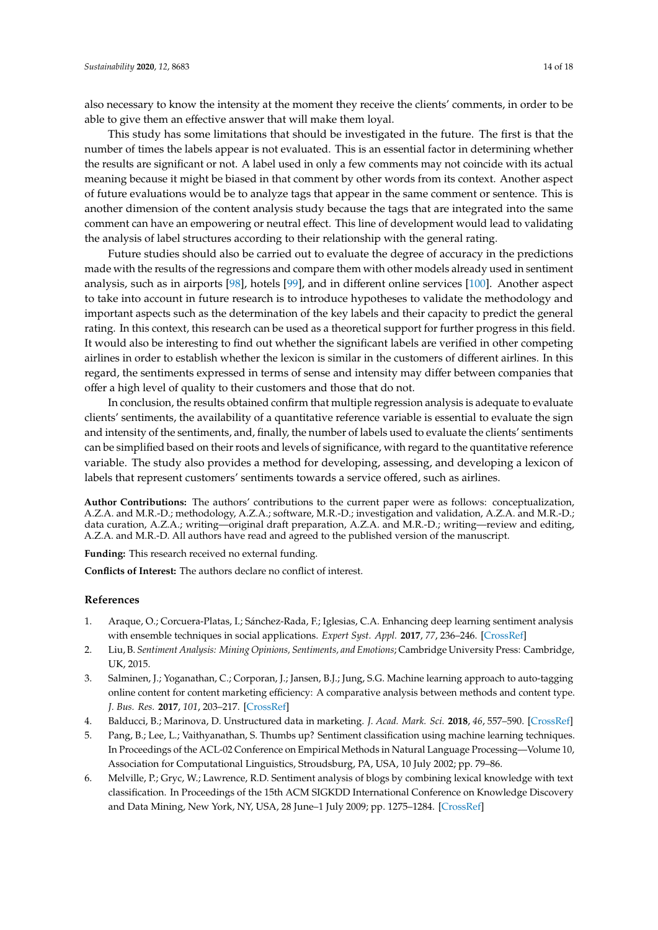also necessary to know the intensity at the moment they receive the clients' comments, in order to be able to give them an effective answer that will make them loyal.

This study has some limitations that should be investigated in the future. The first is that the number of times the labels appear is not evaluated. This is an essential factor in determining whether the results are significant or not. A label used in only a few comments may not coincide with its actual meaning because it might be biased in that comment by other words from its context. Another aspect of future evaluations would be to analyze tags that appear in the same comment or sentence. This is another dimension of the content analysis study because the tags that are integrated into the same comment can have an empowering or neutral effect. This line of development would lead to validating the analysis of label structures according to their relationship with the general rating.

Future studies should also be carried out to evaluate the degree of accuracy in the predictions made with the results of the regressions and compare them with other models already used in sentiment analysis, such as in airports [\[98\]](#page-17-19), hotels [\[99\]](#page-17-20), and in different online services [\[100\]](#page-17-21). Another aspect to take into account in future research is to introduce hypotheses to validate the methodology and important aspects such as the determination of the key labels and their capacity to predict the general rating. In this context, this research can be used as a theoretical support for further progress in this field. It would also be interesting to find out whether the significant labels are verified in other competing airlines in order to establish whether the lexicon is similar in the customers of different airlines. In this regard, the sentiments expressed in terms of sense and intensity may differ between companies that offer a high level of quality to their customers and those that do not.

In conclusion, the results obtained confirm that multiple regression analysis is adequate to evaluate clients' sentiments, the availability of a quantitative reference variable is essential to evaluate the sign and intensity of the sentiments, and, finally, the number of labels used to evaluate the clients' sentiments can be simplified based on their roots and levels of significance, with regard to the quantitative reference variable. The study also provides a method for developing, assessing, and developing a lexicon of labels that represent customers' sentiments towards a service offered, such as airlines.

**Author Contributions:** The authors' contributions to the current paper were as follows: conceptualization, A.Z.A. and M.R.-D.; methodology, A.Z.A.; software, M.R.-D.; investigation and validation, A.Z.A. and M.R.-D.; data curation, A.Z.A.; writing—original draft preparation, A.Z.A. and M.R.-D.; writing—review and editing, A.Z.A. and M.R.-D. All authors have read and agreed to the published version of the manuscript.

**Funding:** This research received no external funding.

**Conflicts of Interest:** The authors declare no conflict of interest.

#### **References**

- <span id="page-13-0"></span>1. Araque, O.; Corcuera-Platas, I.; Sánchez-Rada, F.; Iglesias, C.A. Enhancing deep learning sentiment analysis with ensemble techniques in social applications. *Expert Syst. Appl.* **2017**, *77*, 236–246. [\[CrossRef\]](http://dx.doi.org/10.1016/j.eswa.2017.02.002)
- <span id="page-13-1"></span>2. Liu, B. *Sentiment Analysis: Mining Opinions, Sentiments, and Emotions*; Cambridge University Press: Cambridge, UK, 2015.
- <span id="page-13-4"></span>3. Salminen, J.; Yoganathan, C.; Corporan, J.; Jansen, B.J.; Jung, S.G. Machine learning approach to auto-tagging online content for content marketing efficiency: A comparative analysis between methods and content type. *J. Bus. Res.* **2017**, *101*, 203–217. [\[CrossRef\]](http://dx.doi.org/10.1016/j.jbusres.2019.04.018)
- <span id="page-13-2"></span>4. Balducci, B.; Marinova, D. Unstructured data in marketing. *J. Acad. Mark. Sci.* **2018**, *46*, 557–590. [\[CrossRef\]](http://dx.doi.org/10.1007/s11747-018-0581-x)
- <span id="page-13-3"></span>5. Pang, B.; Lee, L.; Vaithyanathan, S. Thumbs up? Sentiment classification using machine learning techniques. In Proceedings of the ACL-02 Conference on Empirical Methods in Natural Language Processing—Volume 10, Association for Computational Linguistics, Stroudsburg, PA, USA, 10 July 2002; pp. 79–86.
- 6. Melville, P.; Gryc, W.; Lawrence, R.D. Sentiment analysis of blogs by combining lexical knowledge with text classification. In Proceedings of the 15th ACM SIGKDD International Conference on Knowledge Discovery and Data Mining, New York, NY, USA, 28 June–1 July 2009; pp. 1275–1284. [\[CrossRef\]](http://dx.doi.org/10.1145/1557019.1557156)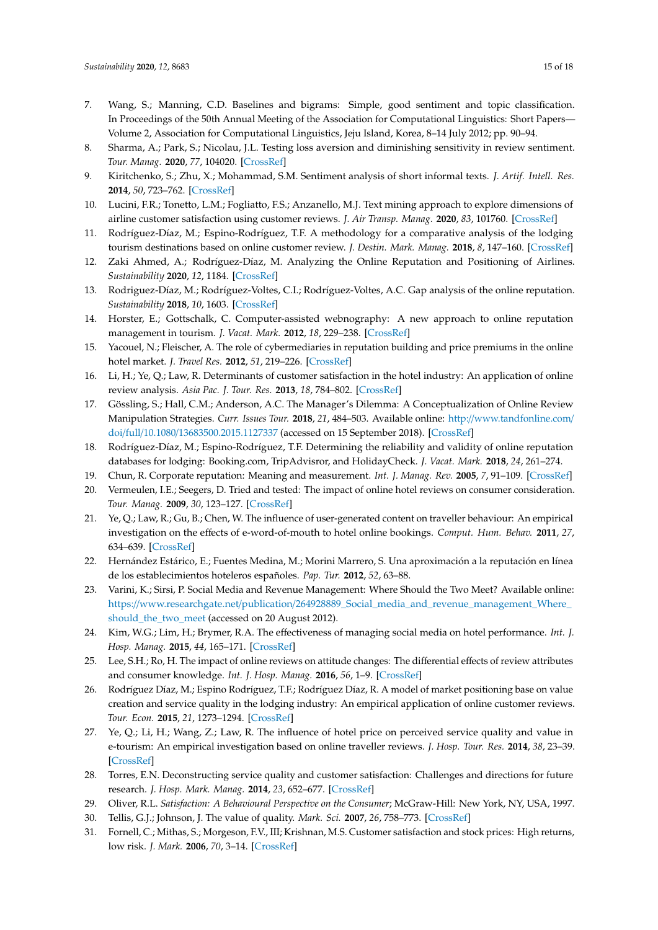- 7. Wang, S.; Manning, C.D. Baselines and bigrams: Simple, good sentiment and topic classification. In Proceedings of the 50th Annual Meeting of the Association for Computational Linguistics: Short Papers— Volume 2, Association for Computational Linguistics, Jeju Island, Korea, 8–14 July 2012; pp. 90–94.
- <span id="page-14-0"></span>8. Sharma, A.; Park, S.; Nicolau, J.L. Testing loss aversion and diminishing sensitivity in review sentiment. *Tour. Manag.* **2020**, *77*, 104020. [\[CrossRef\]](http://dx.doi.org/10.1016/j.tourman.2019.104020)
- <span id="page-14-1"></span>9. Kiritchenko, S.; Zhu, X.; Mohammad, S.M. Sentiment analysis of short informal texts. *J. Artif. Intell. Res.* **2014**, *50*, 723–762. [\[CrossRef\]](http://dx.doi.org/10.1613/jair.4272)
- <span id="page-14-2"></span>10. Lucini, F.R.; Tonetto, L.M.; Fogliatto, F.S.; Anzanello, M.J. Text mining approach to explore dimensions of airline customer satisfaction using customer reviews. *J. Air Transp. Manag.* **2020**, *83*, 101760. [\[CrossRef\]](http://dx.doi.org/10.1016/j.jairtraman.2019.101760)
- <span id="page-14-3"></span>11. Rodríguez-Díaz, M.; Espino-Rodríguez, T.F. A methodology for a comparative analysis of the lodging tourism destinations based on online customer review. *J. Destin. Mark. Manag.* **2018**, *8*, 147–160. [\[CrossRef\]](http://dx.doi.org/10.1016/j.jdmm.2017.02.006)
- <span id="page-14-4"></span>12. Zaki Ahmed, A.; Rodríguez-Díaz, M. Analyzing the Online Reputation and Positioning of Airlines. *Sustainability* **2020**, *12*, 1184. [\[CrossRef\]](http://dx.doi.org/10.3390/su12031184)
- <span id="page-14-5"></span>13. Rodriguez-Díaz, M.; Rodríguez-Voltes, C.I.; Rodríguez-Voltes, A.C. Gap analysis of the online reputation. *Sustainability* **2018**, *10*, 1603. [\[CrossRef\]](http://dx.doi.org/10.3390/su10051603)
- <span id="page-14-6"></span>14. Horster, E.; Gottschalk, C. Computer-assisted webnography: A new approach to online reputation management in tourism. *J. Vacat. Mark.* **2012**, *18*, 229–238. [\[CrossRef\]](http://dx.doi.org/10.1177/1356766712449369)
- 15. Yacouel, N.; Fleischer, A. The role of cybermediaries in reputation building and price premiums in the online hotel market. *J. Travel Res.* **2012**, *51*, 219–226. [\[CrossRef\]](http://dx.doi.org/10.1177/0047287511400611)
- <span id="page-14-14"></span>16. Li, H.; Ye, Q.; Law, R. Determinants of customer satisfaction in the hotel industry: An application of online review analysis. *Asia Pac. J. Tour. Res.* **2013**, *18*, 784–802. [\[CrossRef\]](http://dx.doi.org/10.1080/10941665.2012.708351)
- 17. Gössling, S.; Hall, C.M.; Anderson, A.C. The Manager's Dilemma: A Conceptualization of Online Review Manipulation Strategies. *Curr. Issues Tour.* **2018**, *21*, 484–503. Available online: http://[www.tandfonline.com](http://www.tandfonline.com/doi/full/10.1080/13683500.2015.1127337)/ doi/full/10.1080/[13683500.2015.1127337](http://www.tandfonline.com/doi/full/10.1080/13683500.2015.1127337) (accessed on 15 September 2018). [\[CrossRef\]](http://dx.doi.org/10.1080/13683500.2015.1127337)
- <span id="page-14-7"></span>18. Rodríguez-Díaz, M.; Espino-Rodríguez, T.F. Determining the reliability and validity of online reputation databases for lodging: Booking.com, TripAdvisror, and HolidayCheck. *J. Vacat. Mark.* **2018**, *24*, 261–274.
- <span id="page-14-8"></span>19. Chun, R. Corporate reputation: Meaning and measurement. *Int. J. Manag. Rev.* **2005**, *7*, 91–109. [\[CrossRef\]](http://dx.doi.org/10.1111/j.1468-2370.2005.00109.x)
- 20. Vermeulen, I.E.; Seegers, D. Tried and tested: The impact of online hotel reviews on consumer consideration. *Tour. Manag.* **2009**, *30*, 123–127. [\[CrossRef\]](http://dx.doi.org/10.1016/j.tourman.2008.04.008)
- 21. Ye, Q.; Law, R.; Gu, B.; Chen, W. The influence of user-generated content on traveller behaviour: An empirical investigation on the effects of e-word-of-mouth to hotel online bookings. *Comput. Hum. Behav.* **2011**, *27*, 634–639. [\[CrossRef\]](http://dx.doi.org/10.1016/j.chb.2010.04.014)
- 22. Hernández Estárico, E.; Fuentes Medina, M.; Morini Marrero, S. Una aproximación a la reputación en línea de los establecimientos hoteleros españoles. *Pap. Tur.* **2012**, *52*, 63–88.
- 23. Varini, K.; Sirsi, P. Social Media and Revenue Management: Where Should the Two Meet? Available online: https://www.researchgate.net/publication/[264928889\\_Social\\_media\\_and\\_revenue\\_management\\_Where\\_](https://www.researchgate.net/publication/264928889_Social_media_and_revenue_management_Where_should_the_two_meet) [should\\_the\\_two\\_meet](https://www.researchgate.net/publication/264928889_Social_media_and_revenue_management_Where_should_the_two_meet) (accessed on 20 August 2012).
- 24. Kim, W.G.; Lim, H.; Brymer, R.A. The effectiveness of managing social media on hotel performance. *Int. J. Hosp. Manag.* **2015**, *44*, 165–171. [\[CrossRef\]](http://dx.doi.org/10.1016/j.ijhm.2014.10.014)
- 25. Lee, S.H.; Ro, H. The impact of online reviews on attitude changes: The differential effects of review attributes and consumer knowledge. *Int. J. Hosp. Manag.* **2016**, *56*, 1–9. [\[CrossRef\]](http://dx.doi.org/10.1016/j.ijhm.2016.04.004)
- <span id="page-14-9"></span>26. Rodríguez Díaz, M.; Espino Rodríguez, T.F.; Rodríguez Díaz, R. A model of market positioning base on value creation and service quality in the lodging industry: An empirical application of online customer reviews. *Tour. Econ.* **2015**, *21*, 1273–1294. [\[CrossRef\]](http://dx.doi.org/10.5367/te.2014.0404)
- <span id="page-14-10"></span>27. Ye, Q.; Li, H.; Wang, Z.; Law, R. The influence of hotel price on perceived service quality and value in e-tourism: An empirical investigation based on online traveller reviews. *J. Hosp. Tour. Res.* **2014**, *38*, 23–39. [\[CrossRef\]](http://dx.doi.org/10.1177/1096348012442540)
- <span id="page-14-11"></span>28. Torres, E.N. Deconstructing service quality and customer satisfaction: Challenges and directions for future research. *J. Hosp. Mark. Manag.* **2014**, *23*, 652–677. [\[CrossRef\]](http://dx.doi.org/10.1080/19368623.2014.846839)
- <span id="page-14-12"></span>29. Oliver, R.L. *Satisfaction: A Behavioural Perspective on the Consumer*; McGraw-Hill: New York, NY, USA, 1997.
- <span id="page-14-13"></span>30. Tellis, G.J.; Johnson, J. The value of quality. *Mark. Sci.* **2007**, *26*, 758–773. [\[CrossRef\]](http://dx.doi.org/10.1287/mksc.1070.0286)
- 31. Fornell, C.; Mithas, S.; Morgeson, F.V., III; Krishnan, M.S. Customer satisfaction and stock prices: High returns, low risk. *J. Mark.* **2006**, *70*, 3–14. [\[CrossRef\]](http://dx.doi.org/10.1509/jmkg.2006.70.1.3)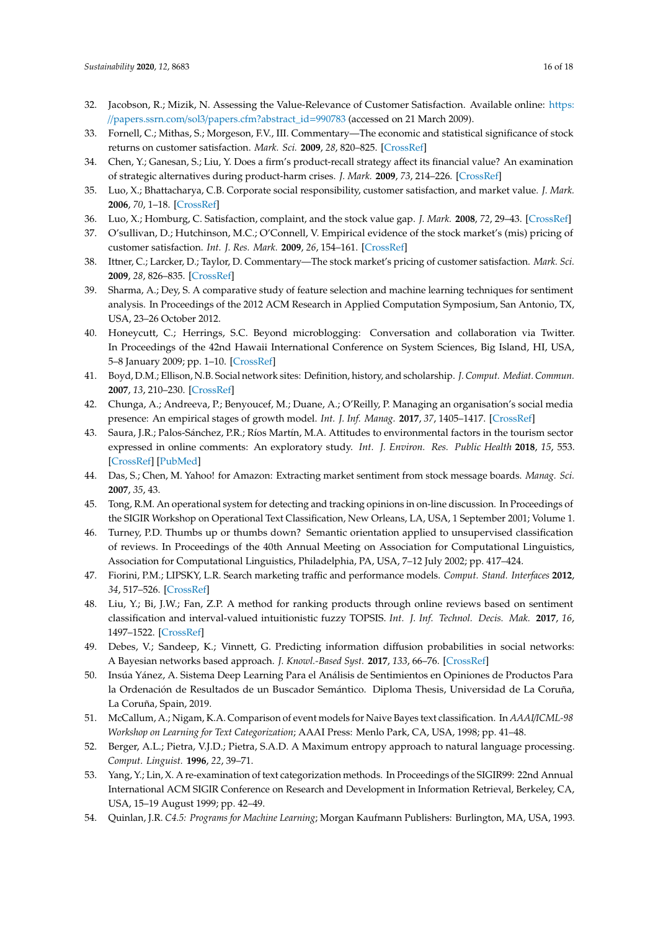- 32. Jacobson, R.; Mizik, N. Assessing the Value-Relevance of Customer Satisfaction. Available online: [https:](https://papers.ssrn.com/sol3/papers.cfm?abstract_id=990783) //papers.ssrn.com/sol3/[papers.cfm?abstract\\_id](https://papers.ssrn.com/sol3/papers.cfm?abstract_id=990783)=990783 (accessed on 21 March 2009).
- 33. Fornell, C.; Mithas, S.; Morgeson, F.V., III. Commentary—The economic and statistical significance of stock returns on customer satisfaction. *Mark. Sci.* **2009**, *28*, 820–825. [\[CrossRef\]](http://dx.doi.org/10.1287/mksc.1090.0505)
- 34. Chen, Y.; Ganesan, S.; Liu, Y. Does a firm's product-recall strategy affect its financial value? An examination of strategic alternatives during product-harm crises. *J. Mark.* **2009**, *73*, 214–226. [\[CrossRef\]](http://dx.doi.org/10.1509/jmkg.73.6.214)
- 35. Luo, X.; Bhattacharya, C.B. Corporate social responsibility, customer satisfaction, and market value. *J. Mark.* **2006**, *70*, 1–18. [\[CrossRef\]](http://dx.doi.org/10.1509/jmkg.70.4.001)
- 36. Luo, X.; Homburg, C. Satisfaction, complaint, and the stock value gap. *J. Mark.* **2008**, *72*, 29–43. [\[CrossRef\]](http://dx.doi.org/10.1509/jmkg.72.4.029)
- 37. O'sullivan, D.; Hutchinson, M.C.; O'Connell, V. Empirical evidence of the stock market's (mis) pricing of customer satisfaction. *Int. J. Res. Mark.* **2009**, *26*, 154–161. [\[CrossRef\]](http://dx.doi.org/10.1016/j.ijresmar.2008.08.004)
- <span id="page-15-0"></span>38. Ittner, C.; Larcker, D.; Taylor, D. Commentary—The stock market's pricing of customer satisfaction. *Mark. Sci.* **2009**, *28*, 826–835. [\[CrossRef\]](http://dx.doi.org/10.1287/mksc.1090.0526)
- <span id="page-15-1"></span>39. Sharma, A.; Dey, S. A comparative study of feature selection and machine learning techniques for sentiment analysis. In Proceedings of the 2012 ACM Research in Applied Computation Symposium, San Antonio, TX, USA, 23–26 October 2012.
- <span id="page-15-2"></span>40. Honeycutt, C.; Herrings, S.C. Beyond microblogging: Conversation and collaboration via Twitter. In Proceedings of the 42nd Hawaii International Conference on System Sciences, Big Island, HI, USA, 5–8 January 2009; pp. 1–10. [\[CrossRef\]](http://dx.doi.org/10.1109/HICSS.2009.8)
- 41. Boyd, D.M.; Ellison, N.B. Social network sites: Definition, history, and scholarship. *J. Comput. Mediat. Commun.* **2007**, *13*, 210–230. [\[CrossRef\]](http://dx.doi.org/10.1111/j.1083-6101.2007.00393.x)
- 42. Chunga, A.; Andreeva, P.; Benyoucef, M.; Duane, A.; O'Reilly, P. Managing an organisation's social media presence: An empirical stages of growth model. *Int. J. Inf. Manag.* **2017**, *37*, 1405–1417. [\[CrossRef\]](http://dx.doi.org/10.1016/j.ijinfomgt.2016.10.003)
- <span id="page-15-3"></span>43. Saura, J.R.; Palos-Sánchez, P.R.; Ríos Martín, M.A. Attitudes to environmental factors in the tourism sector expressed in online comments: An exploratory study. *Int. J. Environ. Res. Public Health* **2018**, *15*, 553. [\[CrossRef\]](http://dx.doi.org/10.3390/ijerph15030553) [\[PubMed\]](http://www.ncbi.nlm.nih.gov/pubmed/29562724)
- <span id="page-15-4"></span>44. Das, S.; Chen, M. Yahoo! for Amazon: Extracting market sentiment from stock message boards. *Manag. Sci.* **2007**, *35*, 43.
- 45. Tong, R.M. An operational system for detecting and tracking opinions in on-line discussion. In Proceedings of the SIGIR Workshop on Operational Text Classification, New Orleans, LA, USA, 1 September 2001; Volume 1.
- 46. Turney, P.D. Thumbs up or thumbs down? Semantic orientation applied to unsupervised classification of reviews. In Proceedings of the 40th Annual Meeting on Association for Computational Linguistics, Association for Computational Linguistics, Philadelphia, PA, USA, 7–12 July 2002; pp. 417–424.
- 47. Fiorini, P.M.; LIPSKY, L.R. Search marketing traffic and performance models. *Comput. Stand. Interfaces* **2012**, *34*, 517–526. [\[CrossRef\]](http://dx.doi.org/10.1016/j.csi.2011.10.008)
- <span id="page-15-5"></span>48. Liu, Y.; Bi, J.W.; Fan, Z.P. A method for ranking products through online reviews based on sentiment classification and interval-valued intuitionistic fuzzy TOPSIS. *Int. J. Inf. Technol. Decis. Mak.* **2017**, *16*, 1497–1522. [\[CrossRef\]](http://dx.doi.org/10.1142/S021962201750033X)
- <span id="page-15-6"></span>49. Debes, V.; Sandeep, K.; Vinnett, G. Predicting information diffusion probabilities in social networks: A Bayesian networks based approach. *J. Knowl.-Based Syst.* **2017**, *133*, 66–76. [\[CrossRef\]](http://dx.doi.org/10.1016/j.knosys.2017.07.003)
- <span id="page-15-7"></span>50. Insúa Yánez, A. Sistema Deep Learning Para el Análisis de Sentimientos en Opiniones de Productos Para la Ordenación de Resultados de un Buscador Semántico. Diploma Thesis, Universidad de La Coruña, La Coruña, Spain, 2019.
- <span id="page-15-8"></span>51. McCallum, A.; Nigam, K.A. Comparison of event models for Naive Bayes text classification. In *AAAI*/*ICML-98 Workshop on Learning for Text Categorization*; AAAI Press: Menlo Park, CA, USA, 1998; pp. 41–48.
- <span id="page-15-9"></span>52. Berger, A.L.; Pietra, V.J.D.; Pietra, S.A.D. A Maximum entropy approach to natural language processing. *Comput. Linguist.* **1996**, *22*, 39–71.
- <span id="page-15-10"></span>53. Yang, Y.; Lin, X. A re-examination of text categorization methods. In Proceedings of the SIGIR99: 22nd Annual International ACM SIGIR Conference on Research and Development in Information Retrieval, Berkeley, CA, USA, 15–19 August 1999; pp. 42–49.
- <span id="page-15-11"></span>54. Quinlan, J.R. *C4.5: Programs for Machine Learning*; Morgan Kaufmann Publishers: Burlington, MA, USA, 1993.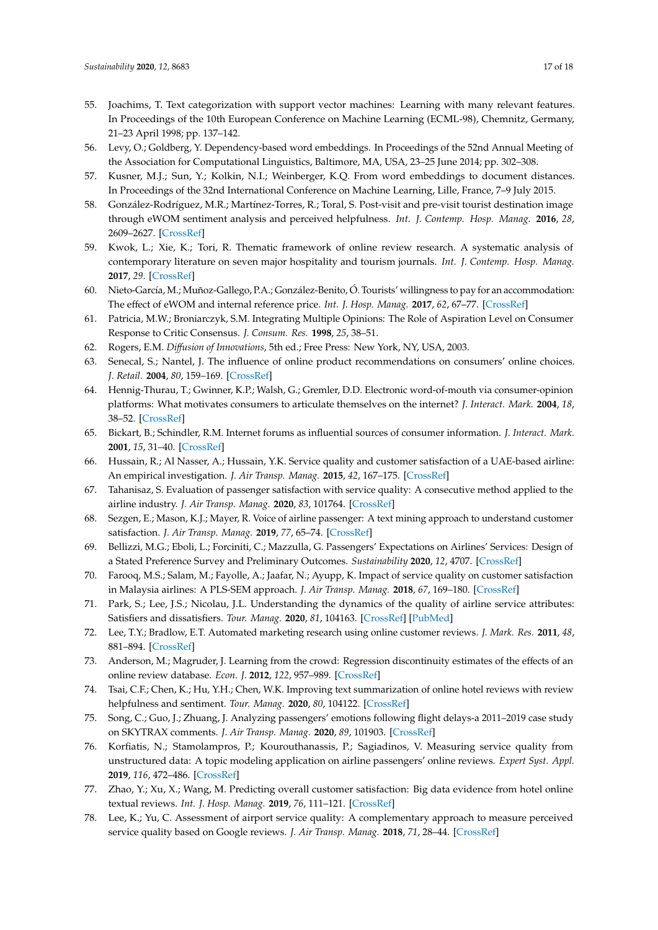- <span id="page-16-0"></span>55. Joachims, T. Text categorization with support vector machines: Learning with many relevant features. In Proceedings of the 10th European Conference on Machine Learning (ECML-98), Chemnitz, Germany, 21–23 April 1998; pp. 137–142.
- <span id="page-16-1"></span>56. Levy, O.; Goldberg, Y. Dependency-based word embeddings. In Proceedings of the 52nd Annual Meeting of the Association for Computational Linguistics, Baltimore, MA, USA, 23–25 June 2014; pp. 302–308.
- <span id="page-16-2"></span>57. Kusner, M.J.; Sun, Y.; Kolkin, N.I.; Weinberger, K.Q. From word embeddings to document distances. In Proceedings of the 32nd International Conference on Machine Learning, Lille, France, 7–9 July 2015.
- <span id="page-16-3"></span>58. González-Rodríguez, M.R.; Martínez-Torres, R.; Toral, S. Post-visit and pre-visit tourist destination image through eWOM sentiment analysis and perceived helpfulness. *Int. J. Contemp. Hosp. Manag.* **2016**, *28*, 2609–2627. [\[CrossRef\]](http://dx.doi.org/10.1108/IJCHM-02-2015-0057)
- 59. Kwok, L.; Xie, K.; Tori, R. Thematic framework of online review research. A systematic analysis of contemporary literature on seven major hospitality and tourism journals. *Int. J. Contemp. Hosp. Manag.* **2017**, *29*. [\[CrossRef\]](http://dx.doi.org/10.1108/IJCHM-11-2015-0664)
- <span id="page-16-4"></span>60. Nieto-García, M.; Muñoz-Gallego, P.A.; González-Benito, Ó. Tourists' willingness to pay for an accommodation: The effect of eWOM and internal reference price. *Int. J. Hosp. Manag.* **2017**, *62*, 67–77. [\[CrossRef\]](http://dx.doi.org/10.1016/j.ijhm.2016.12.006)
- <span id="page-16-5"></span>61. Patricia, M.W.; Broniarczyk, S.M. Integrating Multiple Opinions: The Role of Aspiration Level on Consumer Response to Critic Consensus. *J. Consum. Res.* **1998**, *25*, 38–51.
- 62. Rogers, E.M. *Di*ff*usion of Innovations*, 5th ed.; Free Press: New York, NY, USA, 2003.
- 63. Senecal, S.; Nantel, J. The influence of online product recommendations on consumers' online choices. *J. Retail.* **2004**, *80*, 159–169. [\[CrossRef\]](http://dx.doi.org/10.1016/j.jretai.2004.04.001)
- 64. Hennig-Thurau, T.; Gwinner, K.P.; Walsh, G.; Gremler, D.D. Electronic word-of-mouth via consumer-opinion platforms: What motivates consumers to articulate themselves on the internet? *J. Interact. Mark.* **2004**, *18*, 38–52. [\[CrossRef\]](http://dx.doi.org/10.1002/dir.10073)
- <span id="page-16-6"></span>65. Bickart, B.; Schindler, R.M. Internet forums as influential sources of consumer information. *J. Interact. Mark.* **2001**, *15*, 31–40. [\[CrossRef\]](http://dx.doi.org/10.1002/dir.1014)
- <span id="page-16-7"></span>66. Hussain, R.; Al Nasser, A.; Hussain, Y.K. Service quality and customer satisfaction of a UAE-based airline: An empirical investigation. *J. Air Transp. Manag.* **2015**, *42*, 167–175. [\[CrossRef\]](http://dx.doi.org/10.1016/j.jairtraman.2014.10.001)
- 67. Tahanisaz, S. Evaluation of passenger satisfaction with service quality: A consecutive method applied to the airline industry. *J. Air Transp. Manag.* **2020**, *83*, 101764. [\[CrossRef\]](http://dx.doi.org/10.1016/j.jairtraman.2020.101764)
- 68. Sezgen, E.; Mason, K.J.; Mayer, R. Voice of airline passenger: A text mining approach to understand customer satisfaction. *J. Air Transp. Manag.* **2019**, *77*, 65–74. [\[CrossRef\]](http://dx.doi.org/10.1016/j.jairtraman.2019.04.001)
- 69. Bellizzi, M.G.; Eboli, L.; Forciniti, C.; Mazzulla, G. Passengers' Expectations on Airlines' Services: Design of a Stated Preference Survey and Preliminary Outcomes. *Sustainability* **2020**, *12*, 4707. [\[CrossRef\]](http://dx.doi.org/10.3390/su12114707)
- 70. Farooq, M.S.; Salam, M.; Fayolle, A.; Jaafar, N.; Ayupp, K. Impact of service quality on customer satisfaction in Malaysia airlines: A PLS-SEM approach. *J. Air Transp. Manag.* **2018**, *67*, 169–180. [\[CrossRef\]](http://dx.doi.org/10.1016/j.jairtraman.2017.12.008)
- <span id="page-16-8"></span>71. Park, S.; Lee, J.S.; Nicolau, J.L. Understanding the dynamics of the quality of airline service attributes: Satisfiers and dissatisfiers. *Tour. Manag.* **2020**, *81*, 104163. [\[CrossRef\]](http://dx.doi.org/10.1016/j.tourman.2020.104163) [\[PubMed\]](http://www.ncbi.nlm.nih.gov/pubmed/32518436)
- <span id="page-16-9"></span>72. Lee, T.Y.; Bradlow, E.T. Automated marketing research using online customer reviews. *J. Mark. Res.* **2011**, *48*, 881–894. [\[CrossRef\]](http://dx.doi.org/10.1509/jmkr.48.5.881)
- <span id="page-16-10"></span>73. Anderson, M.; Magruder, J. Learning from the crowd: Regression discontinuity estimates of the effects of an online review database. *Econ. J.* **2012**, *122*, 957–989. [\[CrossRef\]](http://dx.doi.org/10.1111/j.1468-0297.2012.02512.x)
- <span id="page-16-11"></span>74. Tsai, C.F.; Chen, K.; Hu, Y.H.; Chen, W.K. Improving text summarization of online hotel reviews with review helpfulness and sentiment. *Tour. Manag.* **2020**, *80*, 104122. [\[CrossRef\]](http://dx.doi.org/10.1016/j.tourman.2020.104122)
- <span id="page-16-12"></span>75. Song, C.; Guo, J.; Zhuang, J. Analyzing passengers' emotions following flight delays-a 2011–2019 case study on SKYTRAX comments. *J. Air Transp. Manag.* **2020**, *89*, 101903. [\[CrossRef\]](http://dx.doi.org/10.1016/j.jairtraman.2020.101903)
- <span id="page-16-13"></span>76. Korfiatis, N.; Stamolampros, P.; Kourouthanassis, P.; Sagiadinos, V. Measuring service quality from unstructured data: A topic modeling application on airline passengers' online reviews. *Expert Syst. Appl.* **2019**, *116*, 472–486. [\[CrossRef\]](http://dx.doi.org/10.1016/j.eswa.2018.09.037)
- <span id="page-16-14"></span>77. Zhao, Y.; Xu, X.; Wang, M. Predicting overall customer satisfaction: Big data evidence from hotel online textual reviews. *Int. J. Hosp. Manag.* **2019**, *76*, 111–121. [\[CrossRef\]](http://dx.doi.org/10.1016/j.ijhm.2018.03.017)
- <span id="page-16-15"></span>78. Lee, K.; Yu, C. Assessment of airport service quality: A complementary approach to measure perceived service quality based on Google reviews. *J. Air Transp. Manag.* **2018**, *71*, 28–44. [\[CrossRef\]](http://dx.doi.org/10.1016/j.jairtraman.2018.05.004)